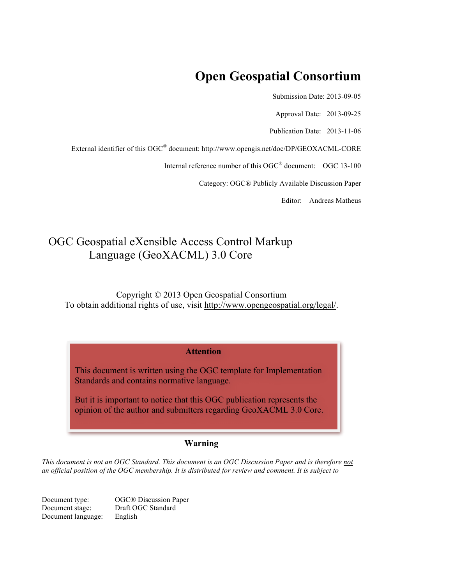# **Open Geospatial Consortium**

Submission Date: 2013-09-05

Approval Date: 2013-09-25

Publication Date: 2013-11-06

External identifier of this OGC® document: http://www.opengis.net/doc/DP/GEOXACML-CORE

Internal reference number of this OGC<sup>®</sup> document: OGC 13-100

Category: OGC® Publicly Available Discussion Paper

Editor: Andreas Matheus

# OGC Geospatial eXensible Access Control Markup Language (GeoXACML) 3.0 Core

Copyright © 2013 Open Geospatial Consortium To obtain additional rights of use, visit http://www.opengeospatial.org/legal/.

#### **Attention**

This document is written using the OGC template for Implementation Standards and contains normative language.

But it is important to notice that this OGC publication represents the opinion of the author and submitters regarding GeoXACML 3.0 Core.

#### **Warning**

*This document is not an OGC Standard. This document is an OGC Discussion Paper and is therefore not an official position of the OGC membership. It is distributed for review and comment. It is subject to* 

Document type: OGC® Discussion Paper<br>Document stage: Draft OGC Standard Draft OGC Standard Document language: English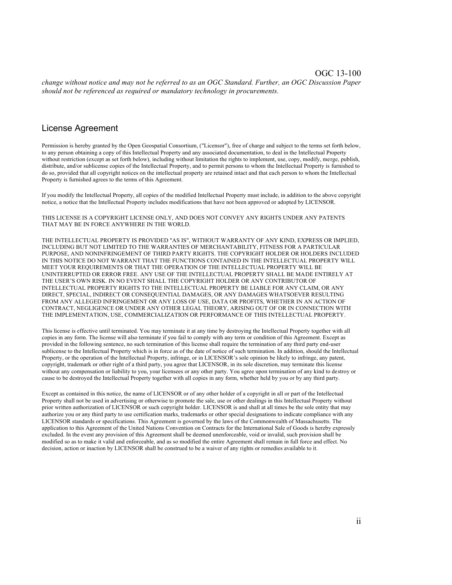#### OGC 13-100

*change without notice and may not be referred to as an OGC Standard. Further, an OGC Discussion Paper should not be referenced as required or mandatory technology in procurements.*

#### License Agreement

Permission is hereby granted by the Open Geospatial Consortium, ("Licensor"), free of charge and subject to the terms set forth below, to any person obtaining a copy of this Intellectual Property and any associated documentation, to deal in the Intellectual Property without restriction (except as set forth below), including without limitation the rights to implement, use, copy, modify, merge, publish, distribute, and/or sublicense copies of the Intellectual Property, and to permit persons to whom the Intellectual Property is furnished to do so, provided that all copyright notices on the intellectual property are retained intact and that each person to whom the Intellectual Property is furnished agrees to the terms of this Agreement.

If you modify the Intellectual Property, all copies of the modified Intellectual Property must include, in addition to the above copyright notice, a notice that the Intellectual Property includes modifications that have not been approved or adopted by LICENSOR.

THIS LICENSE IS A COPYRIGHT LICENSE ONLY, AND DOES NOT CONVEY ANY RIGHTS UNDER ANY PATENTS THAT MAY BE IN FORCE ANYWHERE IN THE WORLD.

THE INTELLECTUAL PROPERTY IS PROVIDED "AS IS", WITHOUT WARRANTY OF ANY KIND, EXPRESS OR IMPLIED, INCLUDING BUT NOT LIMITED TO THE WARRANTIES OF MERCHANTABILITY, FITNESS FOR A PARTICULAR PURPOSE, AND NONINFRINGEMENT OF THIRD PARTY RIGHTS. THE COPYRIGHT HOLDER OR HOLDERS INCLUDED IN THIS NOTICE DO NOT WARRANT THAT THE FUNCTIONS CONTAINED IN THE INTELLECTUAL PROPERTY WILL MEET YOUR REQUIREMENTS OR THAT THE OPERATION OF THE INTELLECTUAL PROPERTY WILL BE UNINTERRUPTED OR ERROR FREE. ANY USE OF THE INTELLECTUAL PROPERTY SHALL BE MADE ENTIRELY AT THE USER'S OWN RISK. IN NO EVENT SHALL THE COPYRIGHT HOLDER OR ANY CONTRIBUTOR OF INTELLECTUAL PROPERTY RIGHTS TO THE INTELLECTUAL PROPERTY BE LIABLE FOR ANY CLAIM, OR ANY DIRECT, SPECIAL, INDIRECT OR CONSEQUENTIAL DAMAGES, OR ANY DAMAGES WHATSOEVER RESULTING FROM ANY ALLEGED INFRINGEMENT OR ANY LOSS OF USE, DATA OR PROFITS, WHETHER IN AN ACTION OF CONTRACT, NEGLIGENCE OR UNDER ANY OTHER LEGAL THEORY, ARISING OUT OF OR IN CONNECTION WITH THE IMPLEMENTATION, USE, COMMERCIALIZATION OR PERFORMANCE OF THIS INTELLECTUAL PROPERTY.

This license is effective until terminated. You may terminate it at any time by destroying the Intellectual Property together with all copies in any form. The license will also terminate if you fail to comply with any term or condition of this Agreement. Except as provided in the following sentence, no such termination of this license shall require the termination of any third party end-user sublicense to the Intellectual Property which is in force as of the date of notice of such termination. In addition, should the Intellectual Property, or the operation of the Intellectual Property, infringe, or in LICENSOR's sole opinion be likely to infringe, any patent, copyright, trademark or other right of a third party, you agree that LICENSOR, in its sole discretion, may terminate this license without any compensation or liability to you, your licensees or any other party. You agree upon termination of any kind to destroy or cause to be destroyed the Intellectual Property together with all copies in any form, whether held by you or by any third party.

Except as contained in this notice, the name of LICENSOR or of any other holder of a copyright in all or part of the Intellectual Property shall not be used in advertising or otherwise to promote the sale, use or other dealings in this Intellectual Property without prior written authorization of LICENSOR or such copyright holder. LICENSOR is and shall at all times be the sole entity that may authorize you or any third party to use certification marks, trademarks or other special designations to indicate compliance with any LICENSOR standards or specifications. This Agreement is governed by the laws of the Commonwealth of Massachusetts. The application to this Agreement of the United Nations Convention on Contracts for the International Sale of Goods is hereby expressly excluded. In the event any provision of this Agreement shall be deemed unenforceable, void or invalid, such provision shall be modified so as to make it valid and enforceable, and as so modified the entire Agreement shall remain in full force and effect. No decision, action or inaction by LICENSOR shall be construed to be a waiver of any rights or remedies available to it.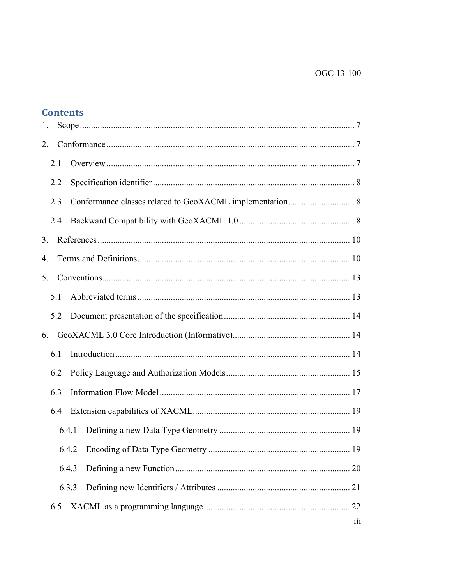| 1.  |       |                         |
|-----|-------|-------------------------|
| 2.  |       |                         |
| 2.1 |       |                         |
| 2.2 |       |                         |
| 2.3 |       |                         |
| 2.4 |       |                         |
| 3.  |       |                         |
| 4.  |       |                         |
| 5.  |       |                         |
| 5.1 |       |                         |
| 5.2 |       |                         |
| 6.  |       |                         |
| 6.1 |       |                         |
| 6.2 |       |                         |
| 6.3 |       |                         |
| 6.4 |       |                         |
|     | 6.4.1 |                         |
|     |       |                         |
|     | 6.4.3 |                         |
|     | 6.3.3 |                         |
| 6.5 |       |                         |
|     |       | $\overline{\text{iii}}$ |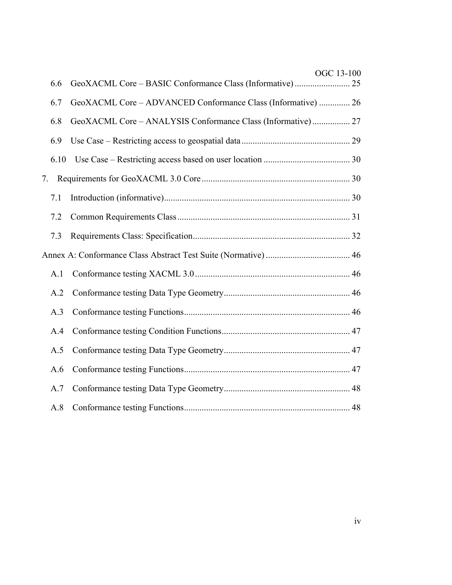|    |      | OGC 13-100                                                   |  |
|----|------|--------------------------------------------------------------|--|
|    | 6.6  |                                                              |  |
|    | 6.7  | GeoXACML Core - ADVANCED Conformance Class (Informative)  26 |  |
|    | 6.8  | GeoXACML Core - ANALYSIS Conformance Class (Informative) 27  |  |
|    | 6.9  |                                                              |  |
|    | 6.10 |                                                              |  |
| 7. |      |                                                              |  |
|    | 7.1  |                                                              |  |
|    | 7.2  |                                                              |  |
|    | 7.3  |                                                              |  |
|    |      |                                                              |  |
|    | A.1  |                                                              |  |
|    | A.2  |                                                              |  |
|    | A.3  |                                                              |  |
|    | A.4  |                                                              |  |
|    | A.5  |                                                              |  |
|    | A.6  |                                                              |  |
|    | A.7  |                                                              |  |
|    | A.8  |                                                              |  |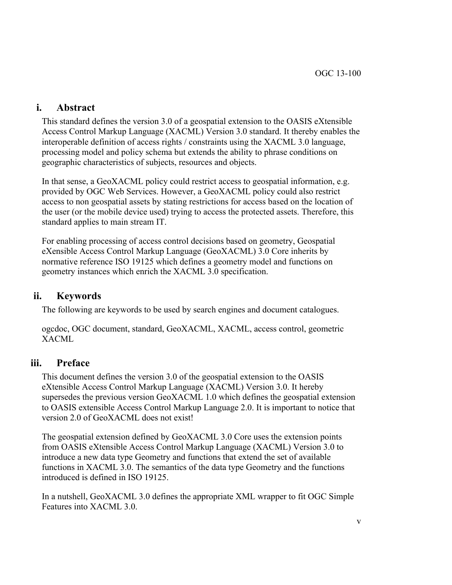## **i. Abstract**

This standard defines the version 3.0 of a geospatial extension to the OASIS eXtensible Access Control Markup Language (XACML) Version 3.0 standard. It thereby enables the interoperable definition of access rights / constraints using the XACML 3.0 language, processing model and policy schema but extends the ability to phrase conditions on geographic characteristics of subjects, resources and objects.

In that sense, a GeoXACML policy could restrict access to geospatial information, e.g. provided by OGC Web Services. However, a GeoXACML policy could also restrict access to non geospatial assets by stating restrictions for access based on the location of the user (or the mobile device used) trying to access the protected assets. Therefore, this standard applies to main stream IT.

For enabling processing of access control decisions based on geometry, Geospatial eXensible Access Control Markup Language (GeoXACML) 3.0 Core inherits by normative reference ISO 19125 which defines a geometry model and functions on geometry instances which enrich the XACML 3.0 specification.

## **ii. Keywords**

The following are keywords to be used by search engines and document catalogues.

ogcdoc, OGC document, standard, GeoXACML, XACML, access control, geometric XACML

## **iii. Preface**

This document defines the version 3.0 of the geospatial extension to the OASIS eXtensible Access Control Markup Language (XACML) Version 3.0. It hereby supersedes the previous version GeoXACML 1.0 which defines the geospatial extension to OASIS extensible Access Control Markup Language 2.0. It is important to notice that version 2.0 of GeoXACML does not exist!

The geospatial extension defined by GeoXACML 3.0 Core uses the extension points from OASIS eXtensible Access Control Markup Language (XACML) Version 3.0 to introduce a new data type Geometry and functions that extend the set of available functions in XACML 3.0. The semantics of the data type Geometry and the functions introduced is defined in ISO 19125.

In a nutshell, GeoXACML 3.0 defines the appropriate XML wrapper to fit OGC Simple Features into XACML 3.0.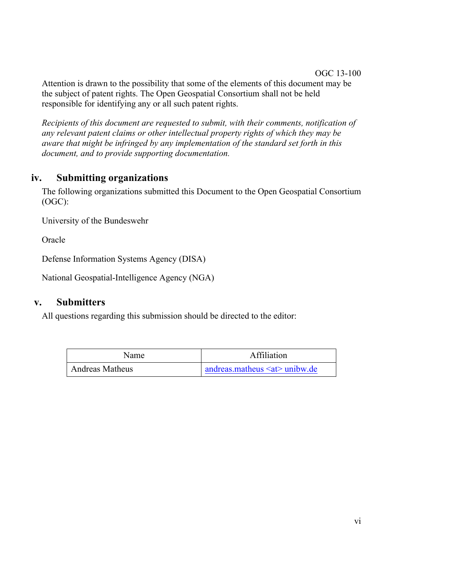#### OGC 13-100

Attention is drawn to the possibility that some of the elements of this document may be the subject of patent rights. The Open Geospatial Consortium shall not be held responsible for identifying any or all such patent rights.

*Recipients of this document are requested to submit, with their comments, notification of any relevant patent claims or other intellectual property rights of which they may be aware that might be infringed by any implementation of the standard set forth in this document, and to provide supporting documentation.*

## **iv. Submitting organizations**

The following organizations submitted this Document to the Open Geospatial Consortium (OGC):

University of the Bundeswehr

Oracle

Defense Information Systems Agency (DISA)

National Geospatial-Intelligence Agency (NGA)

## **v. Submitters**

All questions regarding this submission should be directed to the editor:

| Name            | Affiliation                            |
|-----------------|----------------------------------------|
| Andreas Matheus | andreas matheus $\leq$ at $>$ unibw.de |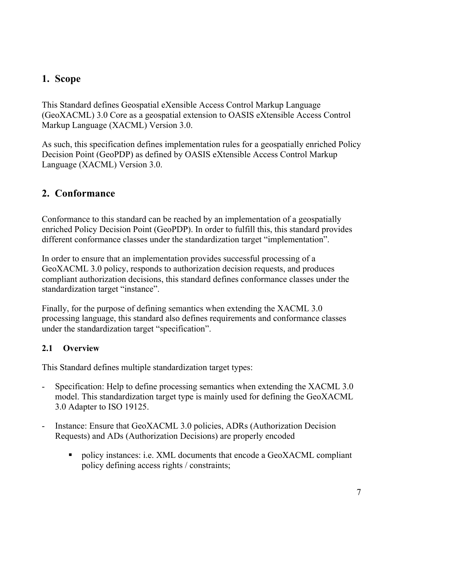## **1. Scope**

This Standard defines Geospatial eXensible Access Control Markup Language (GeoXACML) 3.0 Core as a geospatial extension to OASIS eXtensible Access Control Markup Language (XACML) Version 3.0.

As such, this specification defines implementation rules for a geospatially enriched Policy Decision Point (GeoPDP) as defined by OASIS eXtensible Access Control Markup Language (XACML) Version 3.0.

## **2. Conformance**

Conformance to this standard can be reached by an implementation of a geospatially enriched Policy Decision Point (GeoPDP). In order to fulfill this, this standard provides different conformance classes under the standardization target "implementation".

In order to ensure that an implementation provides successful processing of a GeoXACML 3.0 policy, responds to authorization decision requests, and produces compliant authorization decisions, this standard defines conformance classes under the standardization target "instance".

Finally, for the purpose of defining semantics when extending the XACML 3.0 processing language, this standard also defines requirements and conformance classes under the standardization target "specification".

## **2.1 Overview**

This Standard defines multiple standardization target types:

- Specification: Help to define processing semantics when extending the XACML 3.0 model. This standardization target type is mainly used for defining the GeoXACML 3.0 Adapter to ISO 19125.
- Instance: Ensure that GeoXACML 3.0 policies, ADRs (Authorization Decision Requests) and ADs (Authorization Decisions) are properly encoded
	- policy instances: i.e. XML documents that encode a GeoXACML compliant policy defining access rights / constraints;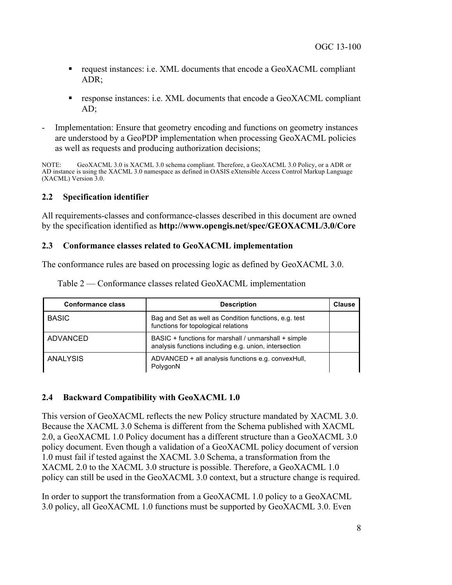- request instances: i.e. XML documents that encode a GeoXACML compliant ADR;
- response instances: i.e. XML documents that encode a GeoXACML compliant AD;
- Implementation: Ensure that geometry encoding and functions on geometry instances are understood by a GeoPDP implementation when processing GeoXACML policies as well as requests and producing authorization decisions;

NOTE: GeoXACML 3.0 is XACML 3.0 schema compliant. Therefore, a GeoXACML 3.0 Policy, or a ADR or AD instance is using the XACML 3.0 namespace as defined in OASIS eXtensible Access Control Markup Language (XACML) Version 3.0.

### **2.2 Specification identifier**

All requirements-classes and conformance-classes described in this document are owned by the specification identified as **http://www.opengis.net/spec/GEOXACML/3.0/Core**

### **2.3 Conformance classes related to GeoXACML implementation**

The conformance rules are based on processing logic as defined by GeoXACML 3.0.

| <b>Conformance class</b> | <b>Description</b>                                                                                            | Clause |
|--------------------------|---------------------------------------------------------------------------------------------------------------|--------|
| <b>BASIC</b>             | Bag and Set as well as Condition functions, e.g. test<br>functions for topological relations                  |        |
| ADVANCED                 | BASIC + functions for marshall / unmarshall + simple<br>analysis functions including e.g. union, intersection |        |
| ANALYSIS                 | ADVANCED + all analysis functions e.g. convexHull,<br>PolygonN                                                |        |

Table 2 — Conformance classes related GeoXACML implementation

### **2.4 Backward Compatibility with GeoXACML 1.0**

This version of GeoXACML reflects the new Policy structure mandated by XACML 3.0. Because the XACML 3.0 Schema is different from the Schema published with XACML 2.0, a GeoXACML 1.0 Policy document has a different structure than a GeoXACML 3.0 policy document. Even though a validation of a GeoXACML policy document of version 1.0 must fail if tested against the XACML 3.0 Schema, a transformation from the XACML 2.0 to the XACML 3.0 structure is possible. Therefore, a GeoXACML 1.0 policy can still be used in the GeoXACML 3.0 context, but a structure change is required.

In order to support the transformation from a GeoXACML 1.0 policy to a GeoXACML 3.0 policy, all GeoXACML 1.0 functions must be supported by GeoXACML 3.0. Even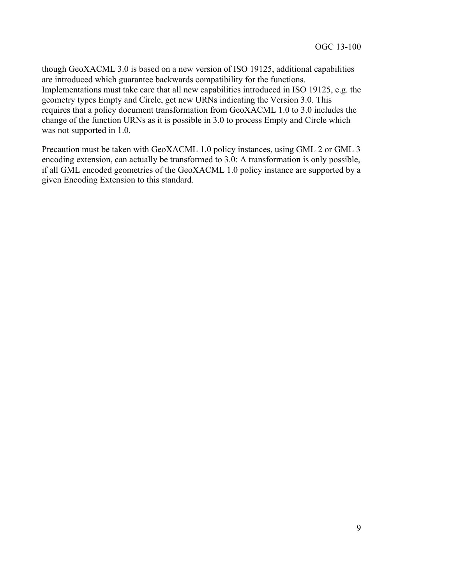though GeoXACML 3.0 is based on a new version of ISO 19125, additional capabilities are introduced which guarantee backwards compatibility for the functions. Implementations must take care that all new capabilities introduced in ISO 19125, e.g. the geometry types Empty and Circle, get new URNs indicating the Version 3.0. This requires that a policy document transformation from GeoXACML 1.0 to 3.0 includes the change of the function URNs as it is possible in 3.0 to process Empty and Circle which was not supported in 1.0.

Precaution must be taken with GeoXACML 1.0 policy instances, using GML 2 or GML 3 encoding extension, can actually be transformed to 3.0: A transformation is only possible, if all GML encoded geometries of the GeoXACML 1.0 policy instance are supported by a given Encoding Extension to this standard.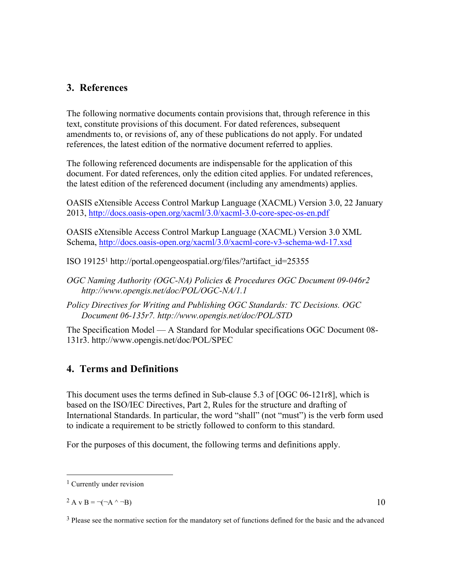## **3. References**

The following normative documents contain provisions that, through reference in this text, constitute provisions of this document. For dated references, subsequent amendments to, or revisions of, any of these publications do not apply. For undated references, the latest edition of the normative document referred to applies.

The following referenced documents are indispensable for the application of this document. For dated references, only the edition cited applies. For undated references, the latest edition of the referenced document (including any amendments) applies.

OASIS eXtensible Access Control Markup Language (XACML) Version 3.0, 22 January 2013, http://docs.oasis-open.org/xacml/3.0/xacml-3.0-core-spec-os-en.pdf

OASIS eXtensible Access Control Markup Language (XACML) Version 3.0 XML Schema, http://docs.oasis-open.org/xacml/3.0/xacml-core-v3-schema-wd-17.xsd

ISO 191251 http://portal.opengeospatial.org/files/?artifact\_id=25355

*OGC Naming Authority (OGC-NA) Policies & Procedures OGC Document 09-046r2 http://www.opengis.net/doc/POL/OGC-NA/1.1* 

*Policy Directives for Writing and Publishing OGC Standards: TC Decisions. OGC Document 06-135r7. http://www.opengis.net/doc/POL/STD*

The Specification Model — A Standard for Modular specifications OGC Document 08- 131r3. http://www.opengis.net/doc/POL/SPEC

## **4. Terms and Definitions**

This document uses the terms defined in Sub-clause 5.3 of [OGC 06-121r8], which is based on the ISO/IEC Directives, Part 2, Rules for the structure and drafting of International Standards. In particular, the word "shall" (not "must") is the verb form used to indicate a requirement to be strictly followed to conform to this standard.

For the purposes of this document, the following terms and definitions apply.

<sup>&</sup>lt;sup>1</sup> Currently under revision

<sup>&</sup>lt;sup>2</sup> A v B =  $\neg(\neg A \land \neg B)$ 

<sup>&</sup>lt;sup>3</sup> Please see the normative section for the mandatory set of functions defined for the basic and the advanced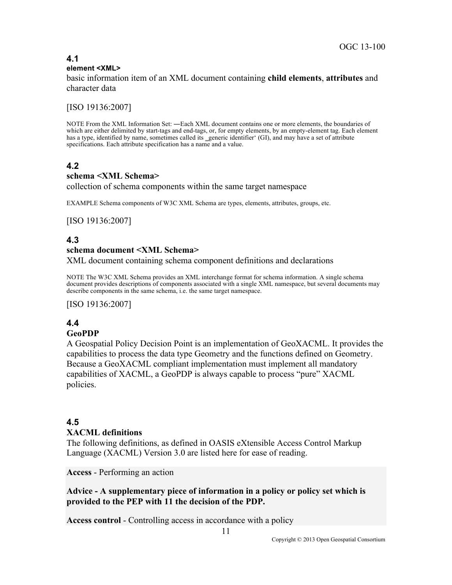#### **4.1 element <XML>**

basic information item of an XML document containing **child elements**, **attributes** and character data

[ISO 19136:2007]

NOTE From the XML Information Set: ―Each XML document contains one or more elements, the boundaries of which are either delimited by start-tags and end-tags, or, for empty elements, by an empty-element tag. Each element has a type, identified by name, sometimes called its generic identifier' (GI), and may have a set of attribute specifications. Each attribute specification has a name and a value.

### **4.2**

#### **schema <XML Schema>**

collection of schema components within the same target namespace

EXAMPLE Schema components of W3C XML Schema are types, elements, attributes, groups, etc.

[ISO 19136:2007]

### **4.3**

#### **schema document <XML Schema>**

XML document containing schema component definitions and declarations

NOTE The W3C XML Schema provides an XML interchange format for schema information. A single schema document provides descriptions of components associated with a single XML namespace, but several documents may describe components in the same schema, i.e. the same target namespace.

[ISO 19136:2007]

# **4.4**

### **GeoPDP**

A Geospatial Policy Decision Point is an implementation of GeoXACML. It provides the capabilities to process the data type Geometry and the functions defined on Geometry. Because a GeoXACML compliant implementation must implement all mandatory capabilities of XACML, a GeoPDP is always capable to process "pure" XACML policies.

#### **4.5 XACML definitions**

The following definitions, as defined in OASIS eXtensible Access Control Markup Language (XACML) Version 3.0 are listed here for ease of reading.

**Access** - Performing an action

### **Advice - A supplementary piece of information in a policy or policy set which is provided to the PEP with 11 the decision of the PDP.**

**Access control** - Controlling access in accordance with a policy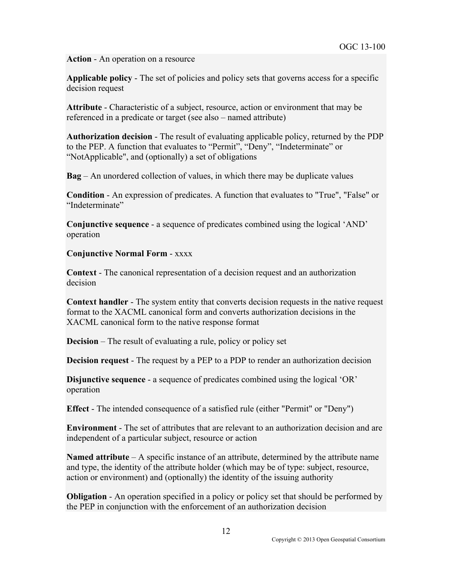**Action** - An operation on a resource

**Applicable policy** - The set of policies and policy sets that governs access for a specific decision request

**Attribute** - Characteristic of a subject, resource, action or environment that may be referenced in a predicate or target (see also – named attribute)

**Authorization decision** - The result of evaluating applicable policy, returned by the PDP to the PEP. A function that evaluates to "Permit", "Deny", "Indeterminate" or "NotApplicable", and (optionally) a set of obligations

**Bag** – An unordered collection of values, in which there may be duplicate values

**Condition** - An expression of predicates. A function that evaluates to "True", "False" or "Indeterminate"

**Conjunctive sequence** - a sequence of predicates combined using the logical 'AND' operation

### **Conjunctive Normal Form** - xxxx

**Context** - The canonical representation of a decision request and an authorization decision

**Context handler** - The system entity that converts decision requests in the native request format to the XACML canonical form and converts authorization decisions in the XACML canonical form to the native response format

**Decision** – The result of evaluating a rule, policy or policy set

**Decision request** - The request by a PEP to a PDP to render an authorization decision

**Disjunctive sequence** - a sequence of predicates combined using the logical 'OR' operation

**Effect** - The intended consequence of a satisfied rule (either "Permit" or "Deny")

**Environment** - The set of attributes that are relevant to an authorization decision and are independent of a particular subject, resource or action

**Named attribute** – A specific instance of an attribute, determined by the attribute name and type, the identity of the attribute holder (which may be of type: subject, resource, action or environment) and (optionally) the identity of the issuing authority

**Obligation** - An operation specified in a policy or policy set that should be performed by the PEP in conjunction with the enforcement of an authorization decision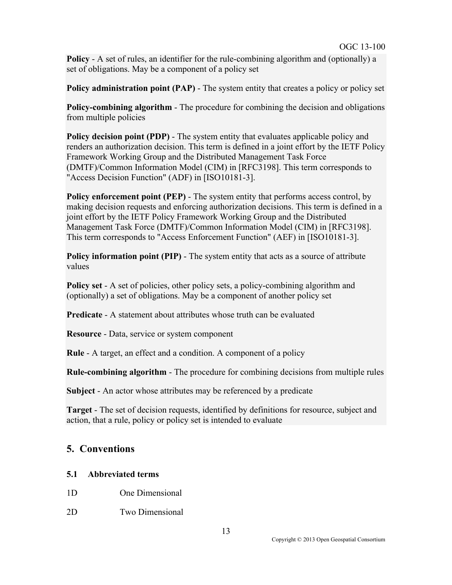**Policy** - A set of rules, an identifier for the rule-combining algorithm and (optionally) a set of obligations. May be a component of a policy set

**Policy administration point (PAP)** - The system entity that creates a policy or policy set

**Policy-combining algorithm** - The procedure for combining the decision and obligations from multiple policies

**Policy decision point (PDP)** - The system entity that evaluates applicable policy and renders an authorization decision. This term is defined in a joint effort by the IETF Policy Framework Working Group and the Distributed Management Task Force (DMTF)/Common Information Model (CIM) in [RFC3198]. This term corresponds to "Access Decision Function" (ADF) in [ISO10181-3].

**Policy enforcement point (PEP)** - The system entity that performs access control, by making decision requests and enforcing authorization decisions. This term is defined in a joint effort by the IETF Policy Framework Working Group and the Distributed Management Task Force (DMTF)/Common Information Model (CIM) in [RFC3198]. This term corresponds to "Access Enforcement Function" (AEF) in [ISO10181-3].

**Policy information point (PIP)** - The system entity that acts as a source of attribute values

**Policy set** - A set of policies, other policy sets, a policy-combining algorithm and (optionally) a set of obligations. May be a component of another policy set

**Predicate** - A statement about attributes whose truth can be evaluated

**Resource** - Data, service or system component

**Rule** - A target, an effect and a condition. A component of a policy

**Rule-combining algorithm** - The procedure for combining decisions from multiple rules

**Subject** - An actor whose attributes may be referenced by a predicate

**Target** - The set of decision requests, identified by definitions for resource, subject and action, that a rule, policy or policy set is intended to evaluate

## **5. Conventions**

### **5.1 Abbreviated terms**

- 1D One Dimensional
- 2D Two Dimensional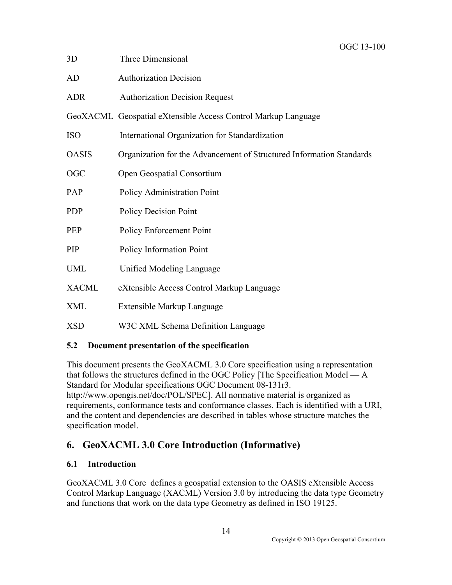| 3D           | Three Dimensional                                                    |
|--------------|----------------------------------------------------------------------|
| AD           | <b>Authorization Decision</b>                                        |
| <b>ADR</b>   | <b>Authorization Decision Request</b>                                |
|              | GeoXACML Geospatial eXtensible Access Control Markup Language        |
| <b>ISO</b>   | International Organization for Standardization                       |
| <b>OASIS</b> | Organization for the Advancement of Structured Information Standards |
| <b>OGC</b>   | Open Geospatial Consortium                                           |
| PAP          | Policy Administration Point                                          |
| <b>PDP</b>   | <b>Policy Decision Point</b>                                         |
| PEP          | Policy Enforcement Point                                             |
| PIP          | Policy Information Point                                             |
| UML          | Unified Modeling Language                                            |
| <b>XACML</b> | eXtensible Access Control Markup Language                            |
| XML          | Extensible Markup Language                                           |
| <b>XSD</b>   | W3C XML Schema Definition Language                                   |

### **5.2 Document presentation of the specification**

This document presents the GeoXACML 3.0 Core specification using a representation that follows the structures defined in the OGC Policy [The Specification Model — A Standard for Modular specifications OGC Document 08-131r3. http://www.opengis.net/doc/POL/SPEC]. All normative material is organized as requirements, conformance tests and conformance classes. Each is identified with a URI, and the content and dependencies are described in tables whose structure matches the specification model.

## **6. GeoXACML 3.0 Core Introduction (Informative)**

## **6.1 Introduction**

GeoXACML 3.0 Core defines a geospatial extension to the OASIS eXtensible Access Control Markup Language (XACML) Version 3.0 by introducing the data type Geometry and functions that work on the data type Geometry as defined in ISO 19125.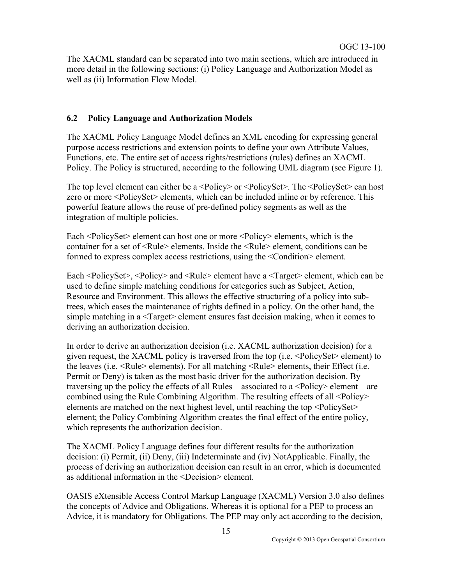The XACML standard can be separated into two main sections, which are introduced in more detail in the following sections: (i) Policy Language and Authorization Model as well as (ii) Information Flow Model.

### **6.2 Policy Language and Authorization Models**

The XACML Policy Language Model defines an XML encoding for expressing general purpose access restrictions and extension points to define your own Attribute Values, Functions, etc. The entire set of access rights/restrictions (rules) defines an XACML Policy. The Policy is structured, according to the following UML diagram (see Figure 1).

The top level element can either be a <Policy> or <PolicySet>. The <PolicySet> can host zero or more <PolicySet> elements, which can be included inline or by reference. This powerful feature allows the reuse of pre-defined policy segments as well as the integration of multiple policies.

Each <PolicySet > element can host one or more <Policy > elements, which is the container for a set of <Rule> elements. Inside the <Rule> element, conditions can be formed to express complex access restrictions, using the <Condition> element.

Each <PolicySet>, <Policy> and <Rule> element have a <Target> element, which can be used to define simple matching conditions for categories such as Subject, Action, Resource and Environment. This allows the effective structuring of a policy into subtrees, which eases the maintenance of rights defined in a policy. On the other hand, the simple matching in a <Target> element ensures fast decision making, when it comes to deriving an authorization decision.

In order to derive an authorization decision (i.e. XACML authorization decision) for a given request, the XACML policy is traversed from the top (i.e. <PolicySet> element) to the leaves (i.e. <Rule> elements). For all matching <Rule> elements, their Effect (i.e. Permit or Deny) is taken as the most basic driver for the authorization decision. By traversing up the policy the effects of all Rules – associated to a  $\langle \text{Policy} \rangle$  element – are combined using the Rule Combining Algorithm. The resulting effects of all <Policy> elements are matched on the next highest level, until reaching the top <PolicySet> element; the Policy Combining Algorithm creates the final effect of the entire policy, which represents the authorization decision.

The XACML Policy Language defines four different results for the authorization decision: (i) Permit, (ii) Deny, (iii) Indeterminate and (iv) NotApplicable. Finally, the process of deriving an authorization decision can result in an error, which is documented as additional information in the <Decision> element.

OASIS eXtensible Access Control Markup Language (XACML) Version 3.0 also defines the concepts of Advice and Obligations. Whereas it is optional for a PEP to process an Advice, it is mandatory for Obligations. The PEP may only act according to the decision,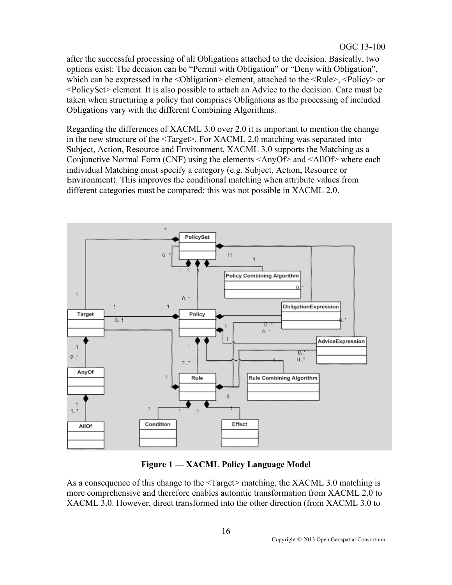after the successful processing of all Obligations attached to the decision. Basically, two options exist: The decision can be "Permit with Obligation" or "Deny with Obligation", which can be expressed in the  $\leq$ Obligation $\geq$  element, attached to the  $\leq$ Rule $\geq$ ,  $\leq$ Policy $\geq$  or <PolicySet> element. It is also possible to attach an Advice to the decision. Care must be taken when structuring a policy that comprises Obligations as the processing of included Obligations vary with the different Combining Algorithms.

Regarding the differences of XACML 3.0 over 2.0 it is important to mention the change in the new structure of the <Target>. For XACML 2.0 matching was separated into Subject, Action, Resource and Environment, XACML 3.0 supports the Matching as a Conjunctive Normal Form (CNF) using the elements <AnyOf> and <AllOf> where each individual Matching must specify a category (e.g. Subject, Action, Resource or Environment). This improves the conditional matching when attribute values from different categories must be compared; this was not possible in XACML 2.0.



**Figure 1 — XACML Policy Language Model** 

As a consequence of this change to the <Target> matching, the XACML 3.0 matching is more comprehensive and therefore enables automtic transformation from XACML 2.0 to XACML 3.0. However, direct transformed into the other direction (from XACML 3.0 to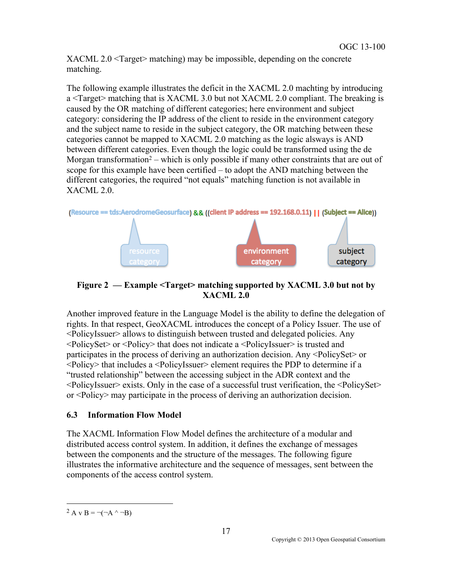XACML 2.0 <Target> matching) may be impossible, depending on the concrete matching.

The following example illustrates the deficit in the XACML 2.0 machting by introducing a <Target> matching that is XACML 3.0 but not XACML 2.0 compliant. The breaking is caused by the OR matching of different categories; here environment and subject category: considering the IP address of the client to reside in the environment category and the subject name to reside in the subject category, the OR matching between these categories cannot be mapped to XACML 2.0 matching as the logic alsways is AND between different categories. Even though the logic could be transformed using the de Morgan transformation<sup>2</sup> – which is only possible if many other constraints that are out of scope for this example have been certified – to adopt the AND matching between the different categories, the required "not equals" matching function is not available in XACML 2.0.



**Figure 2 — Example <Target> matching supported by XACML 3.0 but not by XACML 2.0**

Another improved feature in the Language Model is the ability to define the delegation of rights. In that respect, GeoXACML introduces the concept of a Policy Issuer. The use of <PolicyIssuer> allows to distinguish between trusted and delegated policies. Any <PolicySet> or <Policy> that does not indicate a <PolicyIssuer> is trusted and participates in the process of deriving an authorization decision. Any <PolicySet> or <Policy> that includes a <PolicyIssuer> element requires the PDP to determine if a "trusted relationship" between the accessing subject in the ADR context and the  $\leq$ PolicyIssuer $\geq$  exists. Only in the case of a successful trust verification, the  $\leq$ PolicySet $\geq$ or <Policy> may participate in the process of deriving an authorization decision.

### **6.3 Information Flow Model**

The XACML Information Flow Model defines the architecture of a modular and distributed access control system. In addition, it defines the exchange of messages between the components and the structure of the messages. The following figure illustrates the informative architecture and the sequence of messages, sent between the components of the access control system.

<sup>&</sup>lt;sup>2</sup> A v B =  $\neg(\neg A \land \neg B)$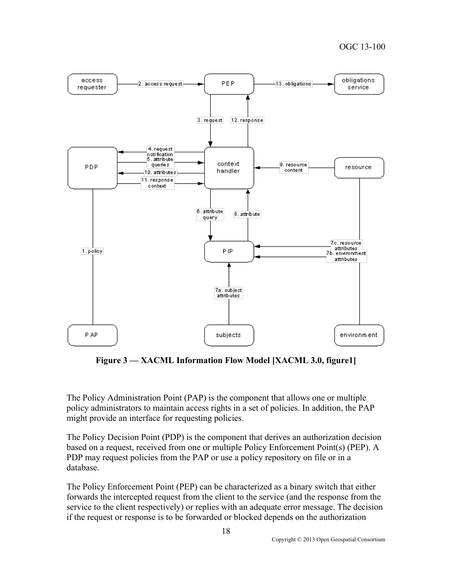

**Figure 3 — XACML Information Flow Model [XACML 3.0, figure1]**

The Policy Administration Point (PAP) is the component that allows one or multiple policy administrators to maintain access rights in a set of policies. In addition, the PAP might provide an interface for requesting policies.

The Policy Decision Point (PDP) is the component that derives an authorization decision based on a request, received from one or multiple Policy Enforcement Point(s) (PEP). A PDP may request policies from the PAP or use a policy repository on file or in a database.

The Policy Enforcement Point (PEP) can be characterized as a binary switch that either forwards the intercepted request from the client to the service (and the response from the service to the client respectively) or replies with an adequate error message. The decision if the request or response is to be forwarded or blocked depends on the authorization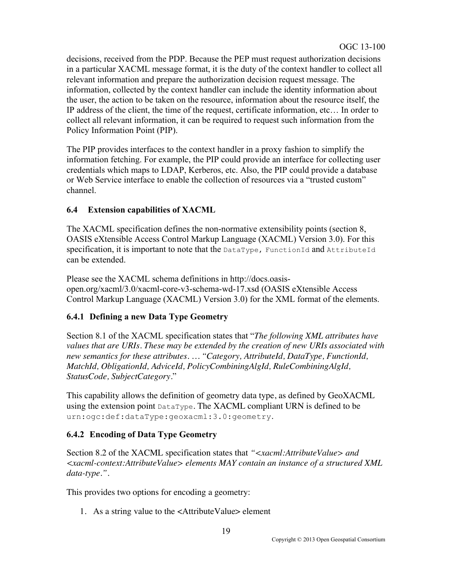decisions, received from the PDP. Because the PEP must request authorization decisions in a particular XACML message format, it is the duty of the context handler to collect all relevant information and prepare the authorization decision request message. The information, collected by the context handler can include the identity information about the user, the action to be taken on the resource, information about the resource itself, the IP address of the client, the time of the request, certificate information, etc… In order to collect all relevant information, it can be required to request such information from the Policy Information Point (PIP).

The PIP provides interfaces to the context handler in a proxy fashion to simplify the information fetching. For example, the PIP could provide an interface for collecting user credentials which maps to LDAP, Kerberos, etc. Also, the PIP could provide a database or Web Service interface to enable the collection of resources via a "trusted custom" channel.

## **6.4 Extension capabilities of XACML**

The XACML specification defines the non-normative extensibility points (section 8, OASIS eXtensible Access Control Markup Language (XACML) Version 3.0). For this specification, it is important to note that the DataType, FunctionId and AttributeId can be extended.

Please see the XACML schema definitions in http://docs.oasisopen.org/xacml/3.0/xacml-core-v3-schema-wd-17.xsd (OASIS eXtensible Access Control Markup Language (XACML) Version 3.0) for the XML format of the elements.

## **6.4.1 Defining a new Data Type Geometry**

Section 8.1 of the XACML specification states that "*The following XML attributes have values that are URIs. These may be extended by the creation of new URIs associated with new semantics for these attributes. … "Category, AttributeId, DataType, FunctionId, MatchId, ObligationId, AdviceId, PolicyCombiningAlgId, RuleCombiningAlgId, StatusCode, SubjectCategory*."

This capability allows the definition of geometry data type, as defined by GeoXACML using the extension point  $\text{DataType}$ . The XACML compliant URN is defined to be urn:ogc:def:dataType:geoxacml:3.0:geometry.

## **6.4.2 Encoding of Data Type Geometry**

Section 8.2 of the XACML specification states that "<xacml:AttributeValue> and *<xacml-context:AttributeValue> elements MAY contain an instance of a structured XML data-type."*.

This provides two options for encoding a geometry:

1. As a string value to the <AttributeValue> element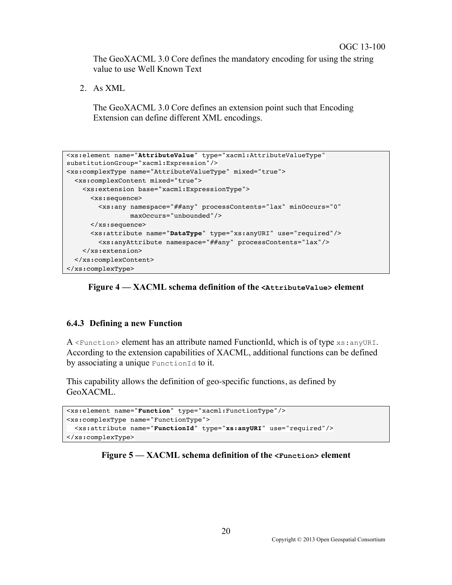The GeoXACML 3.0 Core defines the mandatory encoding for using the string value to use Well Known Text

2. As XML

The GeoXACML 3.0 Core defines an extension point such that Encoding Extension can define different XML encodings.

```
<xs:element name="AttributeValue" type="xacml:AttributeValueType" 
substitutionGroup="xacml:Expression"/>
<xs:complexType name="AttributeValueType" mixed="true">
  <xs:complexContent mixed="true">
    <xs:extension base="xacml:ExpressionType">
       <xs:sequence>
         <xs:any namespace="##any" processContents="lax" minOccurs="0" 
                 maxOccurs="unbounded"/>
       </xs:sequence>
       <xs:attribute name="DataType" type="xs:anyURI" use="required"/>
         <xs:anyAttribute namespace="##any" processContents="lax"/>
    </xs:extension>
  </xs:complexContent>
</xs:complexType>
```


#### **6.4.3 Defining a new Function**

A  $\leq$ Function> element has an attribute named FunctionId, which is of type  $x_s$ : anyURI. According to the extension capabilities of XACML, additional functions can be defined by associating a unique FunctionId to it.

This capability allows the definition of geo-specific functions, as defined by GeoXACML.

```
<xs:element name="Function" type="xacml:FunctionType"/>
<xs:complexType name="FunctionType">
  <xs:attribute name="FunctionId" type="xs:anyURI" use="required"/>
</xs:complexType>
```
#### **Figure 5 — XACML schema definition of the <Function> element**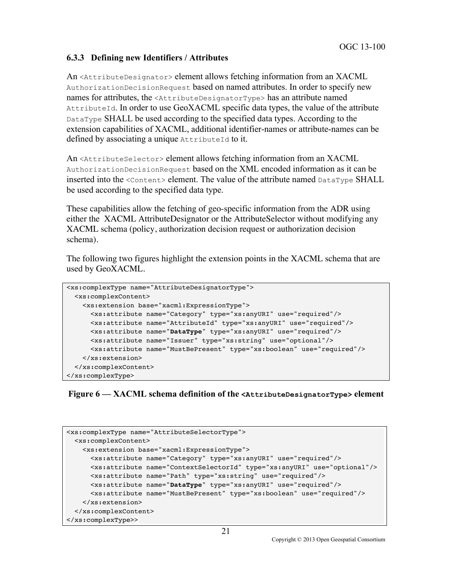### **6.3.3 Defining new Identifiers / Attributes**

An <AttributeDesignator> element allows fetching information from an XACML AuthorizationDecisionRequest based on named attributes. In order to specify new names for attributes, the  $\leq$ AttributeDesignatorType> has an attribute named AttributeId. In order to use GeoXACML specific data types, the value of the attribute DataType SHALL be used according to the specified data types. According to the extension capabilities of XACML, additional identifier-names or attribute-names can be defined by associating a unique AttributeId to it.

An <AttributeSelector> element allows fetching information from an XACML AuthorizationDecisionRequest based on the XML encoded information as it can be inserted into the <content> element. The value of the attribute named  $\text{DataType SHALL}$ be used according to the specified data type.

These capabilities allow the fetching of geo-specific information from the ADR using either the XACML AttributeDesignator or the AttributeSelector without modifying any XACML schema (policy, authorization decision request or authorization decision schema).

The following two figures highlight the extension points in the XACML schema that are used by GeoXACML.

```
<xs:complexType name="AttributeDesignatorType">
  <xs:complexContent>
    <xs:extension base="xacml:ExpressionType">
       <xs:attribute name="Category" type="xs:anyURI" use="required"/>
       <xs:attribute name="AttributeId" type="xs:anyURI" use="required"/>
       <xs:attribute name="DataType" type="xs:anyURI" use="required"/>
       <xs:attribute name="Issuer" type="xs:string" use="optional"/>
       <xs:attribute name="MustBePresent" type="xs:boolean" use="required"/>
    </xs:extension>
   </xs:complexContent>
</xs:complexType>
```
**Figure 6 — XACML schema definition of the <AttributeDesignatorType> element**

```
<xs:complexType name="AttributeSelectorType">
  <xs:complexContent>
     <xs:extension base="xacml:ExpressionType">
       <xs:attribute name="Category" type="xs:anyURI" use="required"/>
       <xs:attribute name="ContextSelectorId" type="xs:anyURI" use="optional"/>
       <xs:attribute name="Path" type="xs:string" use="required"/>
       <xs:attribute name="DataType" type="xs:anyURI" use="required"/>
       <xs:attribute name="MustBePresent" type="xs:boolean" use="required"/>
    </xs:extension>
   </xs:complexContent>
</xs:complexType>>
```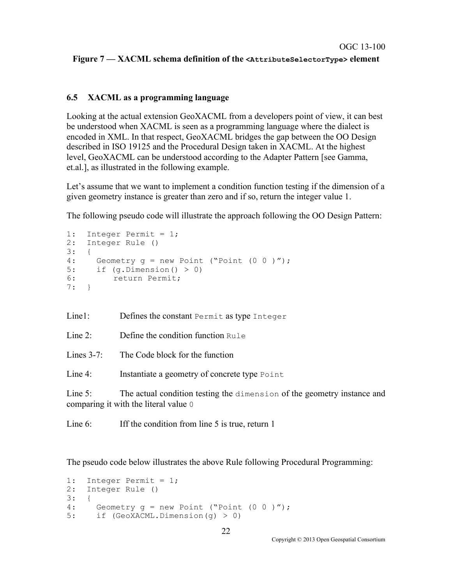#### **Figure 7 — XACML schema definition of the <AttributeSelectorType> element**

### **6.5 XACML as a programming language**

Looking at the actual extension GeoXACML from a developers point of view, it can best be understood when XACML is seen as a programming language where the dialect is encoded in XML. In that respect, GeoXACML bridges the gap between the OO Design described in ISO 19125 and the Procedural Design taken in XACML. At the highest level, GeoXACML can be understood according to the Adapter Pattern [see Gamma, et.al.], as illustrated in the following example.

Let's assume that we want to implement a condition function testing if the dimension of a given geometry instance is greater than zero and if so, return the integer value 1.

The following pseudo code will illustrate the approach following the OO Design Pattern:

```
1: Integer Permit = 1;
2: Integer Rule ()
3: \t {4:}4: Geometry g = new Point ("Point (0 \ 0 \ )");<br>5: if (g.Dimension() > 0)if (q.Dimensional() > 0)6: return Permit;
7: }
```
Line1: Defines the constant Permit as type Integer

Line 2: Define the condition function  $R_{11}$  e

Lines  $3-7$  The Code block for the function

Line 4: Instantiate a geometry of concrete type Point

Line 5: The actual condition testing the dimension of the geometry instance and comparing it with the literal value 0

Line 6: Iff the condition from line 5 is true, return 1

The pseudo code below illustrates the above Rule following Procedural Programming:

```
1: Integer Permit = 1;
2: Integer Rule ()
3: \{4: \}4: Geometry g = new Point ("Point (0 \ 0 \ )");<br>5: if (GeoXACML.Dimension(q) > 0)
        if (GeoXACML.Dimension(g) > 0)
```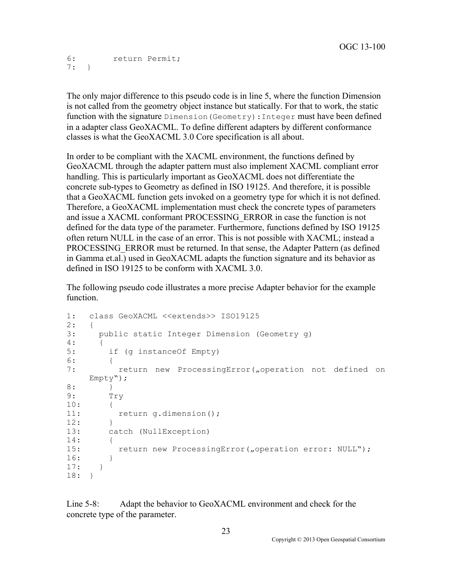6: return Permit; 7: }

The only major difference to this pseudo code is in line 5, where the function Dimension is not called from the geometry object instance but statically. For that to work, the static function with the signature Dimension(Geometry):Integer must have been defined in a adapter class GeoXACML. To define different adapters by different conformance classes is what the GeoXACML 3.0 Core specification is all about.

In order to be compliant with the XACML environment, the functions defined by GeoXACML through the adapter pattern must also implement XACML compliant error handling. This is particularly important as GeoXACML does not differentiate the concrete sub-types to Geometry as defined in ISO 19125. And therefore, it is possible that a GeoXACML function gets invoked on a geometry type for which it is not defined. Therefore, a GeoXACML implementation must check the concrete types of parameters and issue a XACML conformant PROCESSING\_ERROR in case the function is not defined for the data type of the parameter. Furthermore, functions defined by ISO 19125 often return NULL in the case of an error. This is not possible with XACML; instead a PROCESSING ERROR must be returned. In that sense, the Adapter Pattern (as defined in Gamma et.al.) used in GeoXACML adapts the function signature and its behavior as defined in ISO 19125 to be conform with XACML 3.0.

The following pseudo code illustrates a more precise Adapter behavior for the example function.

```
1: class GeoXACML <<extends>> ISO19125
2: 6<br>3:
      public static Integer Dimension (Geometry q)
\frac{4}{5}:
         if (g instanceOf Empty)
6: \t {}return new ProcessingError("operation not defined on
     Empty");
8: }<br>9: T
         Try
10: {<br>11:return g.dimension();
\frac{12:}{13:}catch (NullException)
14: \t {15:}return new ProcessingError("operation error: NULL");
16: 17: 17:18: }
```
Line 5-8: Adapt the behavior to GeoXACML environment and check for the concrete type of the parameter.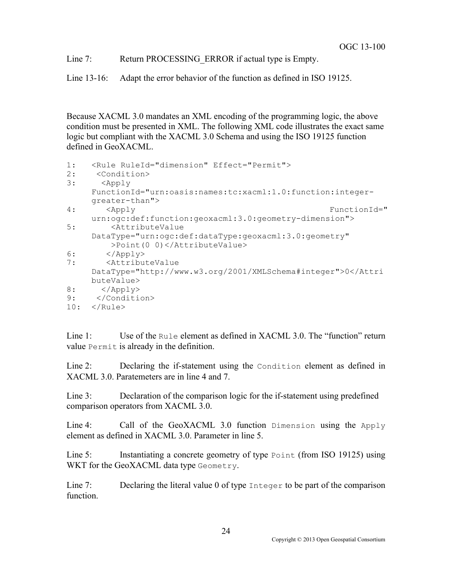Line 7: Return PROCESSING ERROR if actual type is Empty.

Line 13-16: Adapt the error behavior of the function as defined in ISO 19125.

Because XACML 3.0 mandates an XML encoding of the programming logic, the above condition must be presented in XML. The following XML code illustrates the exact same logic but compliant with the XACML 3.0 Schema and using the ISO 19125 function defined in GeoXACML.

```
1: <Rule RuleId="dimension" Effect="Permit"><br>2: <Condition>
2: <Condition><br>3: <Apply
       3: <Apply 
     FunctionId="urn:oasis:names:tc:xacml:1.0:function:integer-
     greater-than">
4: <Apply FunctionId="
     urn:ogc:def:function:geoxacml:3.0:geometry-dimension">
5: <AttributeValue 
     DataType="urn:ogc:def:dataType:geoxacml:3.0:geometry"
          >Point(0 0)</AttributeValue>
6: </Apply><br>7: <Attribu
        7: <AttributeValue 
     DataType="http://www.w3.org/2001/XMLSchema#integer">0</Attri
     buteValue>
8: </Apply><br>9: </Conditi
     9: </Condition>
10: </Rule>
```
Line 1: Use of the Rule element as defined in XACML 3.0. The "function" return value Permit is already in the definition.

Line 2: Declaring the if-statement using the Condition element as defined in XACML 3.0. Paratemeters are in line 4 and 7.

Line 3: Declaration of the comparison logic for the if-statement using predefined comparison operators from XACML 3.0.

Line 4: Call of the GeoXACML 3.0 function  $D$  imension using the Apply element as defined in XACML 3.0. Parameter in line 5.

Line 5: Instantiating a concrete geometry of type Point (from ISO 19125) using WKT for the GeoXACML data type Geometry.

Line 7: Declaring the literal value 0 of type Integer to be part of the comparison function.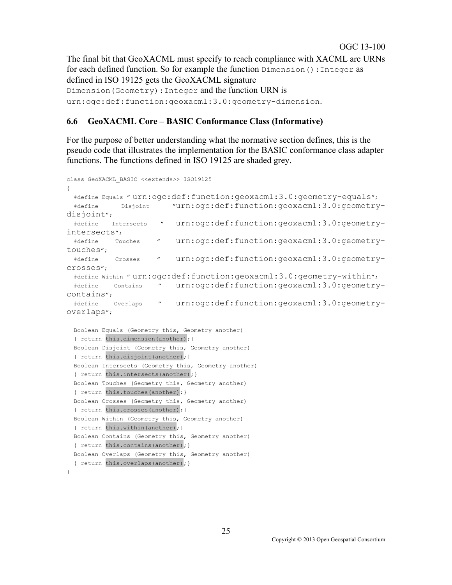The final bit that GeoXACML must specify to reach compliance with XACML are URNs for each defined function. So for example the function Dimension():Integer as defined in ISO 19125 gets the GeoXACML signature Dimension(Geometry):Integer and the function URN is urn:ogc:def:function:geoxacml:3.0:geometry-dimension.

### **6.6 GeoXACML Core – BASIC Conformance Class (Informative)**

For the purpose of better understanding what the normative section defines, this is the pseudo code that illustrates the implementation for the BASIC conformance class adapter functions. The functions defined in ISO 19125 are shaded grey.

```
class GeoXACML_BASIC <<extends>> ISO19125
{
  #define Equals " urn:ogc:def:function:geoxacml:3.0:geometry-equals";
  #define Disjoint "urn:ogc:def:function:geoxacml:3.0:geometry-
disjoint";
  #define Intersects " urn:ogc:def:function:geoxacml:3.0:geometry-
intersects";
  #define Touches " urn:ogc:def:function:geoxacml:3.0:geometry-
touches";
  #define Crosses " urn:ogc:def:function:geoxacml:3.0:geometry-
crosses";
  #define Within " urn:ogc:def:function:geoxacml:3.0:geometry-within";
  #define Contains " urn:ogc:def:function:geoxacml:3.0:geometry-
contains";
  #define Overlaps " urn:ogc:def:function:geoxacml:3.0:geometry-
overlaps";
  Boolean Equals (Geometry this, Geometry another) 
 { return this.dimension(another); }
  Boolean Disjoint (Geometry this, Geometry another) 
 { return this.disjoint (another); }
  Boolean Intersects (Geometry this, Geometry another) 
 { return this.intersects(another); }
  Boolean Touches (Geometry this, Geometry another) 
 { return this.touches(another); }
  Boolean Crosses (Geometry this, Geometry another) 
 { return this.crosses(another); }
  Boolean Within (Geometry this, Geometry another) 
 { return this.within(another); }
  Boolean Contains (Geometry this, Geometry another) 
 { return this.contains(another); }
  Boolean Overlaps (Geometry this, Geometry another) 
 { return this.overlaps(another); }
}
```
OGC 13-100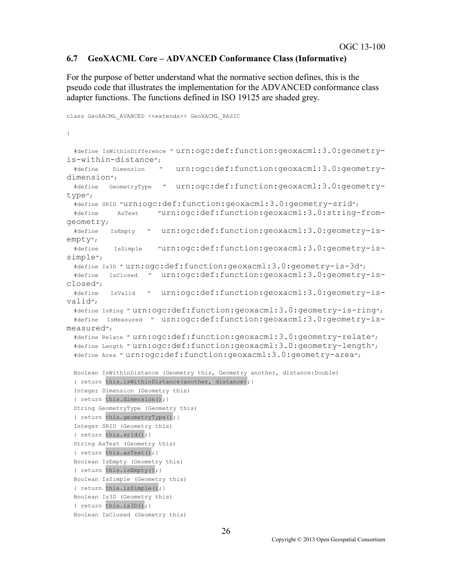#### **6.7 GeoXACML Core – ADVANCED Conformance Class (Informative)**

For the purpose of better understand what the normative section defines, this is the pseudo code that illustrates the implementation for the ADVANCED conformance class adapter functions. The functions defined in ISO 19125 are shaded grey.

```
class GeoXACML_AVANCED <<extends>> GeoXACML_BASIC
{
  #define IsWithinDifference " urn:ogc:def:function:geoxacml:3.0:geometry-
is-within-distance";<br>#define Dimension "
                         urn:ogc:def:function:geoxacml:3.0:geometry-
dimension";
  #define GeometryType " urn:ogc:def:function:geoxacml:3.0:geometry-
type";
  #define SRID "urn:ogc:def:function:geoxacml:3.0:geometry-srid";
  #define AsText "urn:ogc:def:function:geoxacml:3.0:string-from-
geometry;
  #define IsEmpty " urn:ogc:def:function:geoxacml:3.0:geometry-is-
empty";
  #define IsSimple "urn:ogc:def:function:geoxacml:3.0:geometry-is-
simple";
  #define Is3D " urn:ogc:def:function:geoxacml:3.0:geometry-is-3d";
  #define IsClosed " urn:ogc:def:function:geoxacml:3.0:geometry-is-
closed";
  #define IsValid " urn:ogc:def:function:geoxacml:3.0:geometry-is-
valid";
  #define IsRing " urn:ogc:def:function:geoxacml:3.0:geometry-is-ring";
  #define IsMeasured " urn:ogc:def:function:geoxacml:3.0:geometry-is-
measured";
  #define Relate " urn:ogc:def:function:geoxacml:3.0:geometry-relate";
  #define Length " urn:ogc:def:function:geoxacml:3.0:geometry-length";
  #define Area " urn:ogc:def:function:geoxacml:3.0:geometry-area";
  Boolean IsWithinDistance (Geometry this, Geometry another, distance:Double) 
 { return this.isWithinDistance(another, distance); }
  Integer Dimension (Geometry this) 
 { return this.dimension(); }
  String GeometryType (Geometry this) 
  { return this.geometryType();}
  Integer SRID (Geometry this) 
  { return this.srid();}
  String AsText (Geometry this) 
 { return this.asText(); }
  Boolean IsEmpty (Geometry this) 
 { return this.isEmpty(); }
  Boolean IsSimple (Geometry this) 
 { return this.isSimple(); }
  Boolean Is3D (Geometry this) 
  { return this.is3D();}
  Boolean IsClosed (Geometry this)
```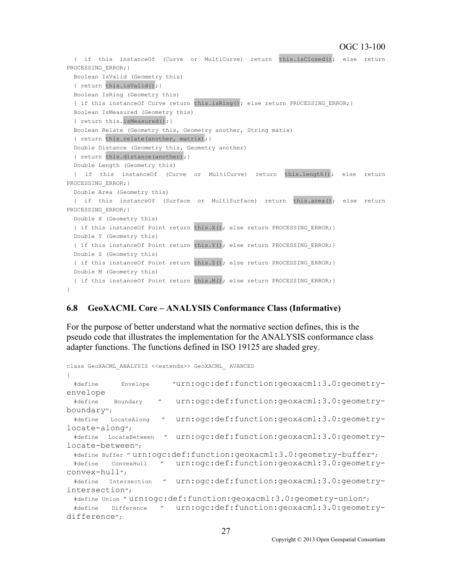#### OGC 13-100

```
 { if this instanceOf (Curve or MultiCurve) return this.isClosed(); else return 
PROCESSING ERROR; }
  Boolean IsValid (Geometry this) 
  { return this.isValid(); }
  Boolean IsRing (Geometry this) 
 { if this instanceOf Curve return this.isRing(); else return PROCESSING ERROR; }
  Boolean IsMeasured (Geometry this) 
  { return this.isMeasured(); }
  Boolean Relate (Geometry this, Geometry another, String matix) 
  { return this.relate(another, matrix); }
   Double Distance (Geometry this, Geometry another) 
  { return this.distance(another); }
  Double Length (Geometry this) 
   { if this instanceOf (Curve or MultiCurve) return this.length(); else return 
PROCESSING ERROR; }
  Double Area (Geometry this) 
  { if this instanceOf (Surface or MultiSurface) return this.area(); else return 
PROCESSING ERROR; }
  Double X (Geometry this) 
  { if this instanceOf Point return this.X(); else return PROCESSING ERROR; }
  Double Y (Geometry this) 
  { if this instanceOf Point return this.Y(); else return PROCESSING ERROR; }
 Double Z (Geometry this) 
  { if this instanceOf Point return this.Z(); else return PROCESSING_ERROR;}
  Double M (Geometry this) 
   { if this instanceOf Point return this.M(); else return PROCESSING_ERROR;}
}
```
#### **6.8 GeoXACML Core – ANALYSIS Conformance Class (Informative)**

For the purpose of better understand what the normative section defines, this is the pseudo code that illustrates the implementation for the ANALYSIS conformance class adapter functions. The functions defined in ISO 19125 are shaded grey.

```
class GeoXACML_ANALYSIS <<extends>> GeoXACML_ AVANCED
{
  #define Envelope "urn:ogc:def:function:geoxacml:3.0:geometry-
envelope
  #define Boundary " urn:ogc:def:function:geoxacml:3.0:geometry-
boundary";
  #define LocateAlong " urn:ogc:def:function:geoxacml:3.0:geometry-
locate-along";
  #define LocateBetween " urn:ogc:def:function:geoxacml:3.0:geometry-
locate-between";
  #define Buffer " urn:ogc:def:function:geoxacml:3.0:geometry-buffer";
  #define ConvexHull " urn:ogc:def:function:geoxacml:3.0:geometry-
convex-hull";
  #define Intersection " urn:ogc:def:function:geoxacml:3.0:geometry-
intersection";
  #define Union " urn:ogc:def:function:geoxacml:3.0:geometry-union";
  #define Difference " urn:ogc:def:function:geoxacml:3.0:geometry-
difference";
```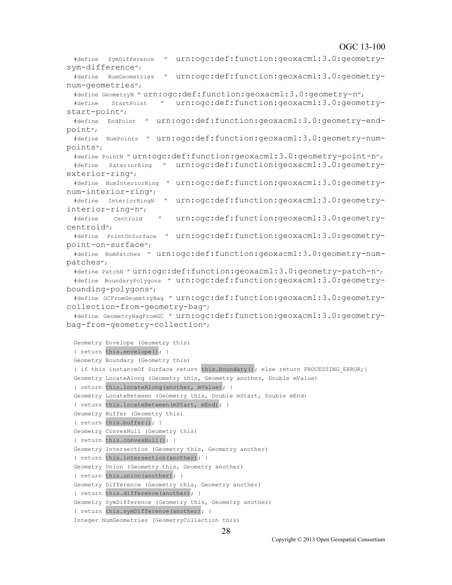#### OGC 13-100

```
 #define SymDifference " urn:ogc:def:function:geoxacml:3.0:geometry-
sym-difference";
  #define NumGeometries " urn:ogc:def:function:geoxacml:3.0:geometry-
num-geometries";
  #define GeometryN " urn:ogc:def:function:geoxacml:3.0:geometry-n";
   #define StartPoint " urn:ogc:def:function:geoxacml:3.0:geometry-
start-point";
   #define EndPoint " urn:ogc:def:function:geoxacml:3.0:geometry-end-
point";
  #define NumPoints " urn:ogc:def:function:geoxacml:3.0:geometry-num-
points";
  #define PointN " urn:ogc:def:function:geoxacml:3.0:geometry-point-n";
   #define ExteriorRing " urn:ogc:def:function:geoxacml:3.0:geometry-
exterior-ring";
   #define NumInteriorRing " urn:ogc:def:function:geoxacml:3.0:geometry-
num-interior-ring";
  #define InteriorRingN " urn:ogc:def:function:geoxacml:3.0:geometry-
interior-ring-n";
   #define Centroid " urn:ogc:def:function:geoxacml:3.0:geometry-
centroid";
  #define PointOnSurface " urn:ogc:def:function:geoxacml:3.0:geometry-
point-on-surface";
   #define NumPatches " urn:ogc:def:function:geoxacml:3.0:geometry-num-
patches";
   #define PatchN " urn:ogc:def:function:geoxacml:3.0:geometry-patch-n";
   #define BoundaryPolygons " urn:ogc:def:function:geoxacml:3.0:geometry-
bounding-polygons";
   #define GCFromGeometryBag " urn:ogc:def:function:geoxacml:3.0:geometry-
collection-from-geometry-bag";
   #define GeometryBagFromGC " urn:ogc:def:function:geoxacml:3.0:geometry-
bag-from-geometry-collection";
   Geometry Envelope (Geometry this) 
   { return this.envelope(); }
   Geometry Boundary (Geometry this) 
   { if this instanceOf Surface return this.boundary(); else return PROCESSING_ERROR;}
   Geometry LocateAlong (Geometry this, Geometry another, Double mValue) 
   { return this.locateAlong(another, mValue); }
   Geometry LocateBetween (Geometry this, Double mStart, Double mEnd) 
   { return this.locateBetween(mStart, mEnd); }
  Geometry Buffer (Geometry this) 
  { return this.buffer(); }
   Geometry ConvexHull (Geometry this) 
  { return this.convexHull(); }
   Geometry Intersection (Geometry this, Geometry another) 
  { return this.intersection(another); }
   Geometry Union (Geometry this, Geometry another) 
  { return this.union(another); }
  Geometry Difference (Geometry this, Geometry another) 
  { return this.difference(another); }
  Geometry SymDifference (Geometry this, Geometry another) 
  { return this.symDifference(another); }
   Integer NumGeometries (GeometryCollection this)
```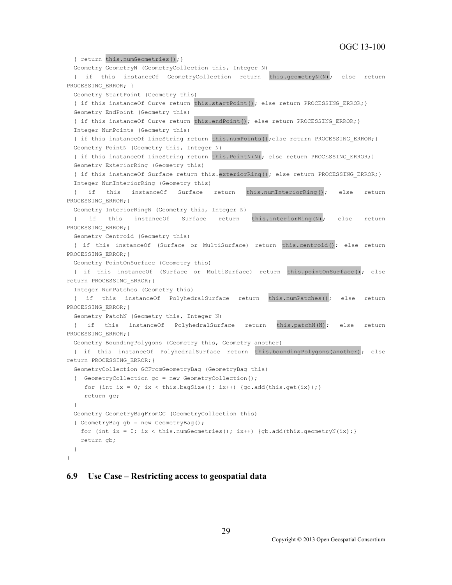```
{ return this.numGeometries(); }
   Geometry GeometryN (GeometryCollection this, Integer N) 
   { if this instanceOf GeometryCollection return this.geometryN(N); else return 
PROCESSING ERROR; }
  Geometry StartPoint (Geometry this) 
  { if this instanceOf Curve return this.startPoint(); else return PROCESSING ERROR; }
  Geometry EndPoint (Geometry this) 
  { if this instanceOf Curve return this.endPoint(); else return PROCESSING ERROR;}
  Integer NumPoints (Geometry this) 
   { if this instanceOf LineString return this.numPoints();else return PROCESSING_ERROR;}
  Geometry PointN (Geometry this, Integer N) 
   { if this instanceOf LineString return this.PointN(N); else return PROCESSING_ERROR;}
  Geometry ExteriorRing (Geometry this) 
   { if this instanceOf Surface return this.exteriorRing(); else return PROCESSING_ERROR;}
   Integer NumInteriorRing (Geometry this) 
   { if this instanceOf Surface return this.numInteriorRing(); else return 
PROCESSING ERROR; }
  Geometry InteriorRingN (Geometry this, Integer N) 
   { if this instanceOf Surface return this.interiorRing(N); else return 
PROCESSING ERROR; }
  Geometry Centroid (Geometry this) 
   { if this instanceOf (Surface or MultiSurface) return this.centroid(); else return 
PROCESSING ERROR; }
  Geometry PointOnSurface (Geometry this) 
   { if this instanceOf (Surface or MultiSurface) return this.pointOnSurface(); else 
return PROCESSING_ERROR;}
  Integer NumPatches (Geometry this) 
  { if this instanceOf PolyhedralSurface return this.numPatches(); else return 
PROCESSING ERROR; }
  Geometry PatchN (Geometry this, Integer N) 
  { if this instanceOf PolyhedralSurface return this.patchN(N); else return 
PROCESSING ERROR; }
  Geometry BoundingPolygons (Geometry this, Geometry another) 
   { if this instanceOf PolyhedralSurface return this.boundingPolygons(another); else 
return PROCESSING_ERROR;}
  GeometryCollection GCFromGeometryBag (GeometryBag this) 
   { GeometryCollection gc = new GeometryCollection();
    for (int ix = 0; ix < this.bagSize(); ix++) {gc.add(this.get(ix));}
     return gc;
   }
  Geometry GeometryBagFromGC (GeometryCollection this) 
   { GeometryBag gb = new GeometryBag();
   for (int ix = 0; ix < this.numGeometries(); ix++) {gb.add(this.geometryN(ix);}
    return gb; 
   }
}
```
#### **6.9 Use Case – Restricting access to geospatial data**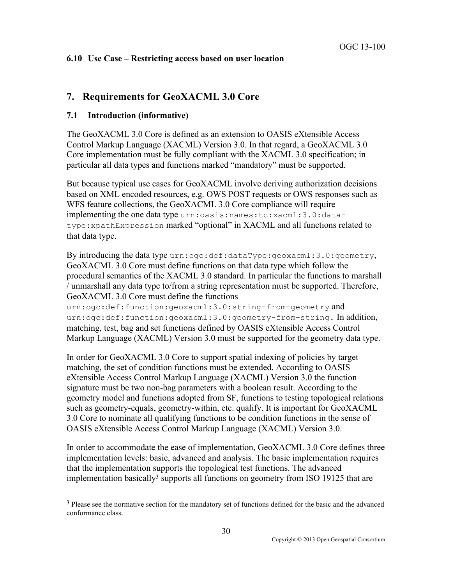### **6.10 Use Case – Restricting access based on user location**

## **7. Requirements for GeoXACML 3.0 Core**

#### **7.1 Introduction (informative)**

The GeoXACML 3.0 Core is defined as an extension to OASIS eXtensible Access Control Markup Language (XACML) Version 3.0. In that regard, a GeoXACML 3.0 Core implementation must be fully compliant with the XACML 3.0 specification; in particular all data types and functions marked "mandatory" must be supported.

But because typical use cases for GeoXACML involve deriving authorization decisions based on XML encoded resources, e.g. OWS POST requests or OWS responses such as WFS feature collections, the GeoXACML 3.0 Core compliance will require implementing the one data type urn:oasis:names:tc:xacml:3.0:datatype:xpathExpression marked "optional" in XACML and all functions related to that data type.

By introducing the data type urn:ogc:def:dataType:geoxacml:3.0:geometry, GeoXACML 3.0 Core must define functions on that data type which follow the procedural semantics of the XACML 3.0 standard. In particular the functions to marshall / unmarshall any data type to/from a string representation must be supported. Therefore, GeoXACML 3.0 Core must define the functions

urn:ogc:def:function:geoxacml:3.0:string-from-geometry and urn:ogc:def:function:geoxacml:3.0:geometry-from-string. In addition, matching, test, bag and set functions defined by OASIS eXtensible Access Control Markup Language (XACML) Version 3.0 must be supported for the geometry data type.

In order for GeoXACML 3.0 Core to support spatial indexing of policies by target matching, the set of condition functions must be extended. According to OASIS eXtensible Access Control Markup Language (XACML) Version 3.0 the function signature must be two non-bag parameters with a boolean result. According to the geometry model and functions adopted from SF, functions to testing topological relations such as geometry-equals, geometry-within, etc. qualify. It is important for GeoXACML 3.0 Core to nominate all qualifying functions to be condition functions in the sense of OASIS eXtensible Access Control Markup Language (XACML) Version 3.0.

In order to accommodate the ease of implementation, GeoXACML 3.0 Core defines three implementation levels: basic, advanced and analysis. The basic implementation requires that the implementation supports the topological test functions. The advanced implementation basically<sup>3</sup> supports all functions on geometry from ISO 19125 that are

<sup>&</sup>lt;sup>3</sup> Please see the normative section for the mandatory set of functions defined for the basic and the advanced conformance class.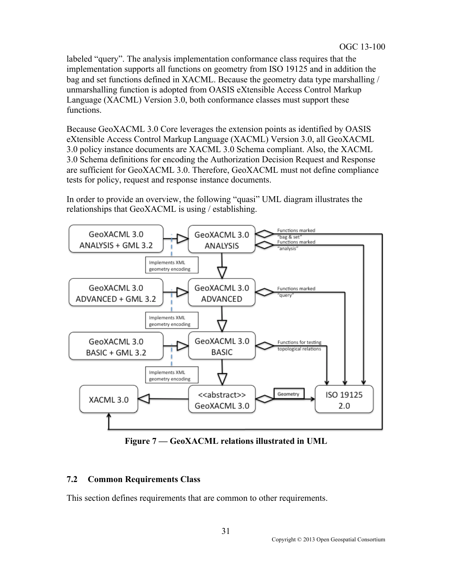labeled "query". The analysis implementation conformance class requires that the implementation supports all functions on geometry from ISO 19125 and in addition the bag and set functions defined in XACML. Because the geometry data type marshalling / unmarshalling function is adopted from OASIS eXtensible Access Control Markup Language (XACML) Version 3.0, both conformance classes must support these functions.

Because GeoXACML 3.0 Core leverages the extension points as identified by OASIS eXtensible Access Control Markup Language (XACML) Version 3.0, all GeoXACML 3.0 policy instance documents are XACML 3.0 Schema compliant. Also, the XACML 3.0 Schema definitions for encoding the Authorization Decision Request and Response are sufficient for GeoXACML 3.0. Therefore, GeoXACML must not define compliance tests for policy, request and response instance documents.

In order to provide an overview, the following "quasi" UML diagram illustrates the relationships that GeoXACML is using / establishing.



**Figure 7 — GeoXACML relations illustrated in UML** 

### **7.2 Common Requirements Class**

This section defines requirements that are common to other requirements.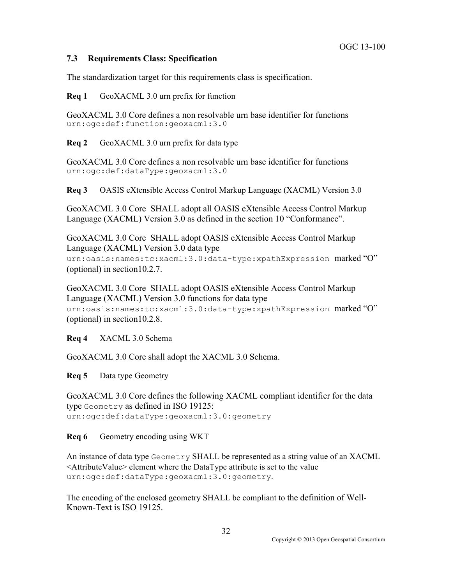### **7.3 Requirements Class: Specification**

The standardization target for this requirements class is specification.

**Req 1** GeoXACML 3.0 urn prefix for function

GeoXACML 3.0 Core defines a non resolvable urn base identifier for functions urn:ogc:def:function:geoxacml:3.0

**Req 2** GeoXACML 3.0 urn prefix for data type

GeoXACML 3.0 Core defines a non resolvable urn base identifier for functions urn:ogc:def:dataType:geoxacml:3.0

**Req 3** OASIS eXtensible Access Control Markup Language (XACML) Version 3.0

GeoXACML 3.0 Core SHALL adopt all OASIS eXtensible Access Control Markup Language (XACML) Version 3.0 as defined in the section 10 "Conformance".

GeoXACML 3.0 Core SHALL adopt OASIS eXtensible Access Control Markup Language (XACML) Version 3.0 data type

urn:oasis:names:tc:xacml:3.0:data-type:xpathExpression marked "O" (optional) in section10.2.7.

GeoXACML 3.0 Core SHALL adopt OASIS eXtensible Access Control Markup Language (XACML) Version 3.0 functions for data type urn:oasis:names:tc:xacml:3.0:data-type:xpathExpression marked "O" (optional) in section10.2.8.

**Req 4** XACML 3.0 Schema

GeoXACML 3.0 Core shall adopt the XACML 3.0 Schema.

**Req 5** Data type Geometry

GeoXACML 3.0 Core defines the following XACML compliant identifier for the data type Geometry as defined in ISO 19125: urn:ogc:def:dataType:geoxacml:3.0:geometry

**Req 6** Geometry encoding using WKT

An instance of data type Geometry SHALL be represented as a string value of an XACML  $\leq$ AttributeValue> element where the DataType attribute is set to the value urn:ogc:def:dataType:geoxacml:3.0:geometry.

The encoding of the enclosed geometry SHALL be compliant to the definition of Well-Known-Text is ISO 19125.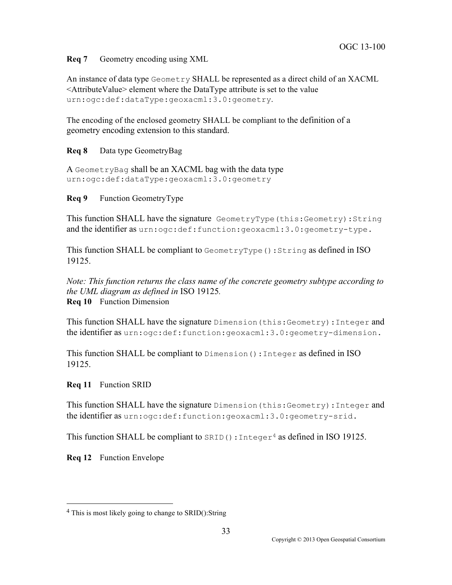**Req 7** Geometry encoding using XML

An instance of data type Geometry SHALL be represented as a direct child of an XACML  $\leq$ AttributeValue $\geq$  element where the DataType attribute is set to the value urn:ogc:def:dataType:geoxacml:3.0:geometry.

The encoding of the enclosed geometry SHALL be compliant to the definition of a geometry encoding extension to this standard.

**Req 8** Data type GeometryBag

A GeometryBag shall be an XACML bag with the data type urn:ogc:def:dataType:geoxacml:3.0:geometry

**Req 9** Function GeometryType

This function SHALL have the signature GeometryType(this:Geometry):String and the identifier as urn:ogc:def:function:geoxacml:3.0:geometry-type.

This function SHALL be compliant to GeometryType(): String as defined in ISO 19125.

*Note: This function returns the class name of the concrete geometry subtype according to the UML diagram as defined in* ISO 19125*.* **Req 10** Function Dimension

This function SHALL have the signature Dimension (this: Geometry): Integer and the identifier as urn:ogc:def:function:geoxacml:3.0:geometry-dimension.

This function SHALL be compliant to Dimension():Integer as defined in ISO 19125.

**Req 11** Function SRID

This function SHALL have the signature Dimension (this: Geometry): Integer and the identifier as urn:ogc:def:function:geoxacml:3.0:geometry-srid.

This function SHALL be compliant to  $SRED()$ : Integer<sup>4</sup> as defined in ISO 19125.

**Req 12** Function Envelope

 <sup>4</sup> This is most likely going to change to SRID():String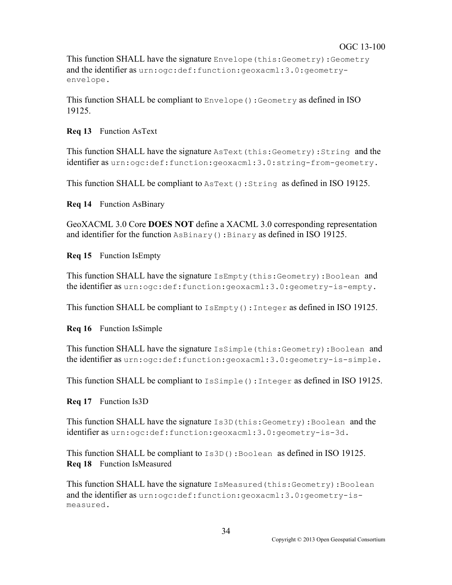This function SHALL have the signature Envelope(this:Geometry):Geometry and the identifier as urn:ogc:def:function:geoxacml:3.0:geometryenvelope.

This function SHALL be compliant to Envelope():Geometry as defined in ISO 19125.

**Req 13** Function AsText

This function SHALL have the signature AsText(this:Geometry):String and the identifier as urn:ogc:def:function:geoxacml:3.0:string-from-geometry.

This function SHALL be compliant to  $A \sF (x)$ :  $S \tF (x)$  as defined in ISO 19125.

**Req 14** Function AsBinary

GeoXACML 3.0 Core **DOES NOT** define a XACML 3.0 corresponding representation and identifier for the function AsBinary():Binary as defined in ISO 19125.

**Req 15** Function IsEmpty

This function SHALL have the signature IsEmpty(this:Geometry):Boolean and the identifier as urn:ogc:def:function:geoxacml:3.0:geometry-is-empty.

This function SHALL be compliant to IsEmpty():Integer as defined in ISO 19125.

**Req 16** Function IsSimple

This function SHALL have the signature IsSimple (this: Geometry): Boolean and the identifier as urn:ogc:def:function:geoxacml:3.0:geometry-is-simple.

This function SHALL be compliant to  $\text{Issimple}(.)$ : Integer as defined in ISO 19125.

**Req 17** Function Is3D

This function SHALL have the signature  $Is3D(this:Geometry)$ : Boolean and the identifier as urn:ogc:def:function:geoxacml:3.0:geometry-is-3d.

This function SHALL be compliant to Is3D():Boolean as defined in ISO 19125. **Req 18** Function IsMeasured

This function SHALL have the signature IsMeasured (this: Geometry): Boolean and the identifier as urn:ogc:def:function:geoxacml:3.0:geometry-ismeasured.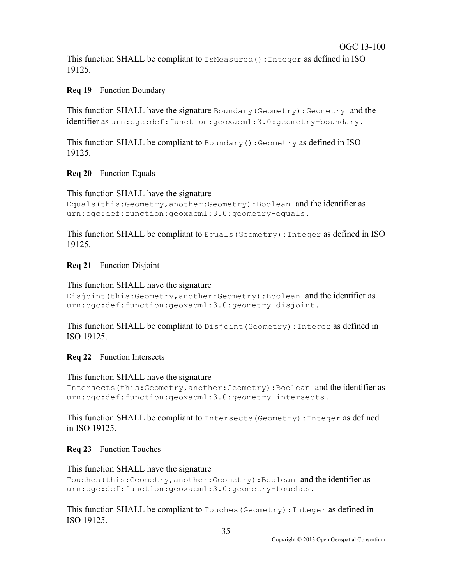This function SHALL be compliant to IsMeasured():Integer as defined in ISO 19125.

### **Req 19** Function Boundary

This function SHALL have the signature Boundary(Geometry):Geometry and the identifier as urn:ogc:def:function:geoxacml:3.0:geometry-boundary.

This function SHALL be compliant to Boundary():Geometry as defined in ISO 19125.

### **Req 20** Function Equals

This function SHALL have the signature

```
Equals(this:Geometry,another:Geometry):Boolean and the identifier as
urn:ogc:def:function:geoxacml:3.0:geometry-equals.
```
This function SHALL be compliant to  $\text{Equation 1S}$  (Geometry): Integer as defined in ISO 19125.

### **Req 21** Function Disjoint

```
This function SHALL have the signature 
Disjoint(this:Geometry,another:Geometry):Boolean and the identifier as
urn:ogc:def:function:geoxacml:3.0:geometry-disjoint.
```
This function SHALL be compliant to Disjoint (Geometry): Integer as defined in ISO 19125.

**Req 22** Function Intersects

#### This function SHALL have the signature

```
Intersects(this:Geometry,another:Geometry):Boolean and the identifier as
urn:ogc:def:function:geoxacml:3.0:geometry-intersects.
```
This function SHALL be compliant to Intersects(Geometry):Integer as defined in ISO 19125.

### **Req 23** Function Touches

```
This function SHALL have the signature 
Touches(this:Geometry,another:Geometry):Boolean and the identifier as
urn:ogc:def:function:geoxacml:3.0:geometry-touches.
```
This function SHALL be compliant to Touches(Geometry):Integer as defined in ISO 19125.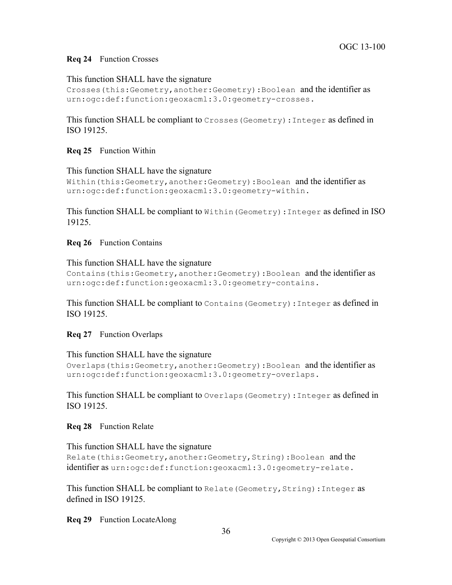#### **Req 24** Function Crosses

This function SHALL have the signature

```
Crosses(this:Geometry,another:Geometry):Boolean and the identifier as
urn:ogc:def:function:geoxacml:3.0:geometry-crosses.
```
This function SHALL be compliant to Crosses(Geometry):Integer as defined in ISO 19125.

#### **Req 25** Function Within

This function SHALL have the signature

```
Within(this:Geometry,another:Geometry):Boolean and the identifier as
urn:ogc:def:function:geoxacml:3.0:geometry-within.
```
This function SHALL be compliant to Within(Geometry):Integer as defined in ISO 19125.

**Req 26** Function Contains

This function SHALL have the signature Contains(this:Geometry,another:Geometry):Boolean and the identifier as urn:ogc:def:function:geoxacml:3.0:geometry-contains.

This function SHALL be compliant to Contains(Geometry):Integer as defined in ISO 19125.

**Req 27** Function Overlaps

#### This function SHALL have the signature

```
Overlaps(this:Geometry,another:Geometry):Boolean and the identifier as
urn:ogc:def:function:geoxacml:3.0:geometry-overlaps.
```
This function SHALL be compliant to Overlaps (Geometry): Integer as defined in ISO 19125.

**Req 28** Function Relate

#### This function SHALL have the signature

```
Relate(this:Geometry,another:Geometry,String):Boolean and the
identifier as urn:ogc:def:function:geoxacml:3.0:geometry-relate.
```
This function SHALL be compliant to Relate (Geometry, String): Integer as defined in ISO 19125.

**Req 29** Function LocateAlong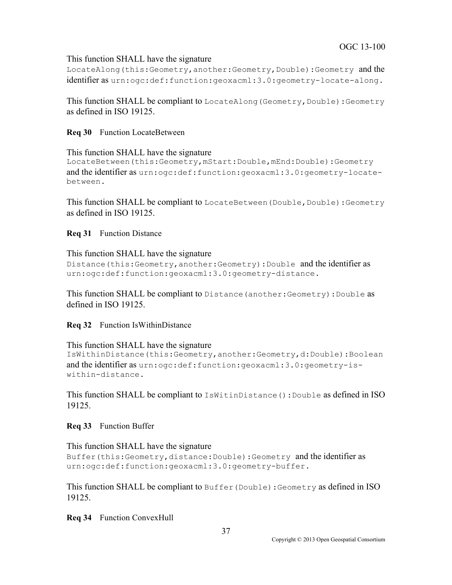### This function SHALL have the signature

LocateAlong(this:Geometry,another:Geometry,Double):Geometry and the identifier as urn:ogc:def:function:geoxacml:3.0:geometry-locate-along.

This function SHALL be compliant to LocateAlong (Geometry, Double): Geometry as defined in ISO 19125.

**Req 30** Function LocateBetween

```
This function SHALL have the signature 
LocateBetween(this:Geometry,mStart:Double,mEnd:Double):Geometry 
and the identifier as urn:ogc:def:function:geoxacml:3.0:geometry-locate-
between.
```
This function SHALL be compliant to LocateBetween (Double, Double): Geometry as defined in ISO 19125.

### **Req 31** Function Distance

This function SHALL have the signature

```
Distance(this:Geometry,another:Geometry):Double and the identifier as
urn:ogc:def:function:geoxacml:3.0:geometry-distance.
```
This function SHALL be compliant to Distance (another: Geometry): Double as defined in ISO 19125.

**Req 32** Function IsWithinDistance

This function SHALL have the signature

```
IsWithinDistance(this:Geometry,another:Geometry,d:Double):Boolean 
and the identifier as urn:ogc:def:function:geoxacml:3.0:geometry-is-
within-distance.
```
This function SHALL be compliant to  $I$ sWitinDistance(): Double as defined in ISO 19125.

**Req 33** Function Buffer

This function SHALL have the signature Buffer(this:Geometry,distance:Double):Geometry and the identifier as urn:ogc:def:function:geoxacml:3.0:geometry-buffer.

This function SHALL be compliant to Buffer(Double):Geometry as defined in ISO 19125.

**Req 34** Function ConvexHull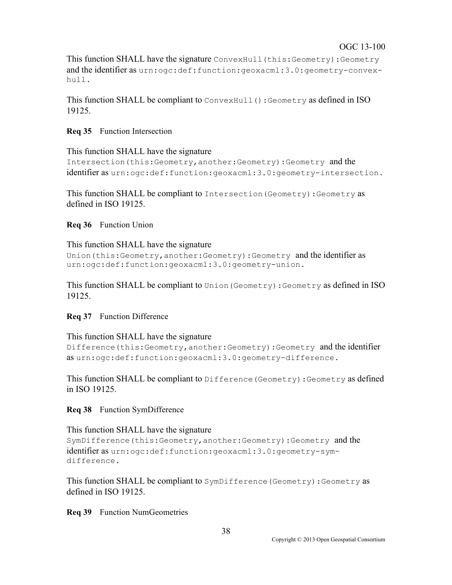This function SHALL have the signature ConvexHull (this: Geometry): Geometry and the identifier as urn:ogc:def:function:geoxacml:3.0:geometry-convexhull.

This function SHALL be compliant to ConvexHull(): Geometry as defined in ISO 19125.

#### **Req 35** Function Intersection

This function SHALL have the signature

```
Intersection(this:Geometry,another:Geometry):Geometry and the
identifier as urn:ogc:def:function:geoxacml:3.0:geometry-intersection.
```
This function SHALL be compliant to Intersection(Geometry):Geometry as defined in ISO 19125.

#### **Req 36** Function Union

#### This function SHALL have the signature

```
Union(this:Geometry,another:Geometry):Geometry and the identifier as
urn:ogc:def:function:geoxacml:3.0:geometry-union.
```
This function SHALL be compliant to Union(Geometry):Geometry as defined in ISO 19125.

#### **Req 37** Function Difference

This function SHALL have the signature Difference(this:Geometry,another:Geometry):Geometry and the identifier as urn:ogc:def:function:geoxacml:3.0:geometry-difference.

This function SHALL be compliant to Difference(Geometry):Geometry as defined in ISO 19125.

#### **Req 38** Function SymDifference

This function SHALL have the signature

```
SymDifference(this:Geometry,another:Geometry):Geometry and the
identifier as urn:ogc:def:function:geoxacml:3.0:geometry-sym-
difference.
```
This function SHALL be compliant to SymDifference(Geometry):Geometry as defined in ISO 19125.

#### **Req 39** Function NumGeometries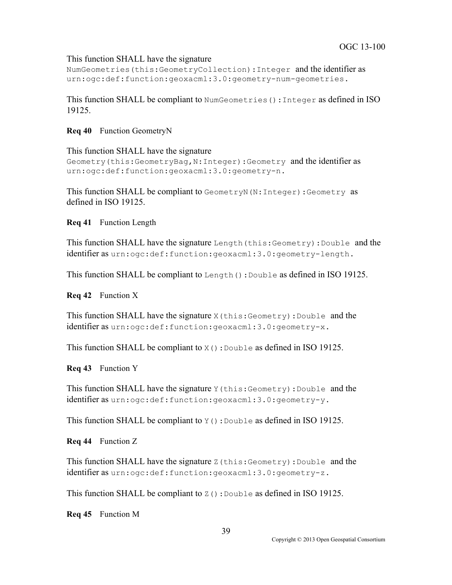### This function SHALL have the signature

NumGeometries(this:GeometryCollection):Integer and the identifier as urn:ogc:def:function:geoxacml:3.0:geometry-num-geometries.

This function SHALL be compliant to NumGeometries():Integer as defined in ISO 19125.

#### **Req 40** Function GeometryN

This function SHALL have the signature Geometry(this:GeometryBag,N:Integer):Geometry and the identifier as urn:ogc:def:function:geoxacml:3.0:geometry-n.

This function SHALL be compliant to GeometryN(N:Integer):Geometry as defined in ISO 19125.

**Req 41** Function Length

This function SHALL have the signature Length(this:Geometry):Double and the identifier as urn:ogc:def:function:geoxacml:3.0:geometry-length.

This function SHALL be compliant to Length(): Double as defined in ISO 19125.

**Req 42** Function X

This function SHALL have the signature  $X$  (this: Geometry): Double and the identifier as urn:ogc:def:function:geoxacml:3.0:geometry-x.

This function SHALL be compliant to  $X()$ : Double as defined in ISO 19125.

**Req 43** Function Y

This function SHALL have the signature  $Y$  (this: Geometry): Double and the identifier as urn:ogc:def:function:geoxacml:3.0:geometry-y.

This function SHALL be compliant to  $Y()$ : Double as defined in ISO 19125.

**Req 44** Function Z

This function SHALL have the signature  $Z(\text{this:Geometry}):Double$  and the identifier as urn:ogc:def:function:geoxacml:3.0:geometry-z.

This function SHALL be compliant to  $Z()$ : Double as defined in ISO 19125.

**Req 45** Function M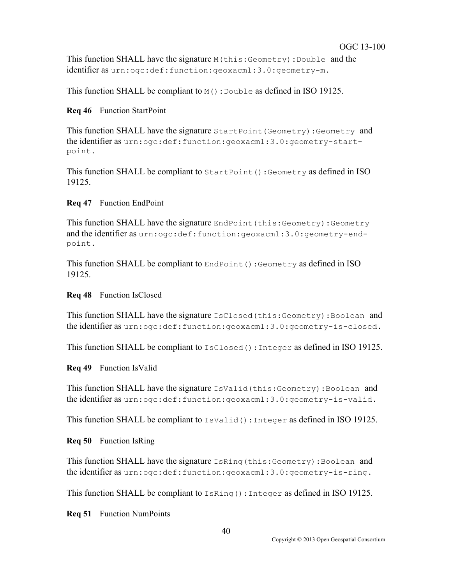This function SHALL have the signature M(this:Geometry):Double and the identifier as urn:ogc:def:function:geoxacml:3.0:geometry-m.

This function SHALL be compliant to  $M()$ : Double as defined in ISO 19125.

**Req 46** Function StartPoint

This function SHALL have the signature StartPoint(Geometry):Geometry and the identifier as urn:ogc:def:function:geoxacml:3.0:geometry-startpoint.

This function SHALL be compliant to StartPoint():Geometry as defined in ISO 19125.

### **Req 47** Function EndPoint

This function SHALL have the signature EndPoint(this:Geometry):Geometry and the identifier as urn:ogc:def:function:geoxacml:3.0:geometry-endpoint.

This function SHALL be compliant to EndPoint(): Geometry as defined in ISO 19125.

#### **Req 48** Function IsClosed

This function SHALL have the signature IsClosed(this:Geometry):Boolean and the identifier as urn:ogc:def:function:geoxacml:3.0:geometry-is-closed.

This function SHALL be compliant to IsClosed():Integer as defined in ISO 19125.

**Req 49** Function IsValid

This function SHALL have the signature IsValid(this:Geometry):Boolean and the identifier as urn:ogc:def:function:geoxacml:3.0:geometry-is-valid.

This function SHALL be compliant to IsValid(): Integer as defined in ISO 19125.

**Req 50** Function IsRing

This function SHALL have the signature IsRing(this:Geometry):Boolean and the identifier as urn:ogc:def:function:geoxacml:3.0:geometry-is-ring.

This function SHALL be compliant to  $Ishnq()$ : Integer as defined in ISO 19125.

**Req 51** Function NumPoints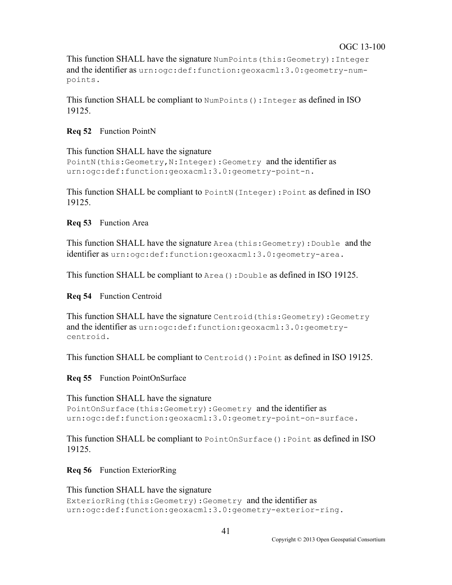This function SHALL have the signature NumPoints(this:Geometry):Integer and the identifier as urn:ogc:def:function:geoxacml:3.0:geometry-numpoints.

This function SHALL be compliant to NumPoints(): Integer as defined in ISO 19125.

#### **Req 52** Function PointN

This function SHALL have the signature PointN(this:Geometry, N:Integer):Geometry and the identifier as urn:ogc:def:function:geoxacml:3.0:geometry-point-n.

This function SHALL be compliant to PointN (Integer): Point as defined in ISO 19125.

#### **Req 53** Function Area

This function SHALL have the signature Area(this:Geometry):Double and the identifier as urn:ogc:def:function:geoxacml:3.0:geometry-area.

This function SHALL be compliant to Area():Double as defined in ISO 19125.

#### **Req 54** Function Centroid

This function SHALL have the signature Centroid(this:Geometry):Geometry and the identifier as urn:ogc:def:function:geoxacml:3.0:geometrycentroid.

This function SHALL be compliant to Centroid():Point as defined in ISO 19125.

**Req 55** Function PointOnSurface

This function SHALL have the signature PointOnSurface(this:Geometry):Geometry and the identifier as urn:ogc:def:function:geoxacml:3.0:geometry-point-on-surface.

This function SHALL be compliant to PointOnSurface(): Point as defined in ISO 19125.

**Req 56** Function ExteriorRing

This function SHALL have the signature ExteriorRing(this:Geometry):Geometry and the identifier as urn:ogc:def:function:geoxacml:3.0:geometry-exterior-ring.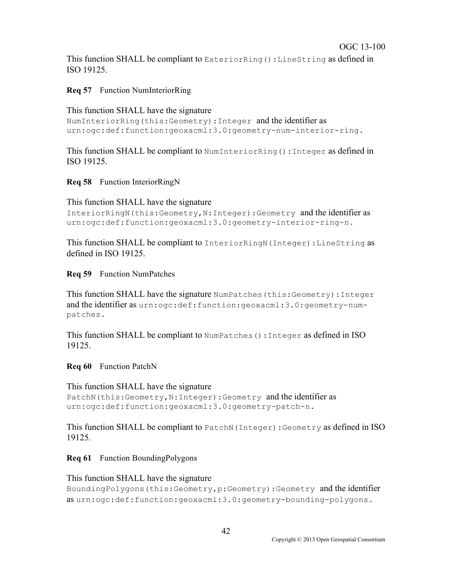This function SHALL be compliant to ExteriorRing():LineString as defined in ISO 19125.

**Req 57** Function NumInteriorRing

This function SHALL have the signature

```
NumInteriorRing(this:Geometry):Integer and the identifier as
urn:ogc:def:function:geoxacml:3.0:geometry-num-interior-ring.
```
This function SHALL be compliant to NumInteriorRing():Integer as defined in ISO 19125.

**Req 58** Function InteriorRingN

```
This function SHALL have the signature 
InteriorRingN(this:Geometry,N:Integer):Geometry and the identifier as
urn:ogc:def:function:geoxacml:3.0:geometry-interior-ring-n.
```
This function SHALL be compliant to InteriorRingN (Integer): LineString as defined in ISO 19125.

**Req 59** Function NumPatches

This function SHALL have the signature NumPatches(this:Geometry):Integer and the identifier as urn:ogc:def:function:geoxacml:3.0:geometry-numpatches.

This function SHALL be compliant to NumPatches():Integer as defined in ISO 19125.

**Req 60** Function PatchN

```
This function SHALL have the signature 
PatchN(this:Geometry, N:Integer):Geometry and the identifier as
urn:ogc:def:function:geoxacml:3.0:geometry-patch-n.
```
This function SHALL be compliant to PatchN(Integer):Geometry as defined in ISO 19125.

**Req 61** Function BoundingPolygons

This function SHALL have the signature BoundingPolygons(this:Geometry,p:Geometry):Geometry and the identifier as urn:ogc:def:function:geoxacml:3.0:geometry-bounding-polygons.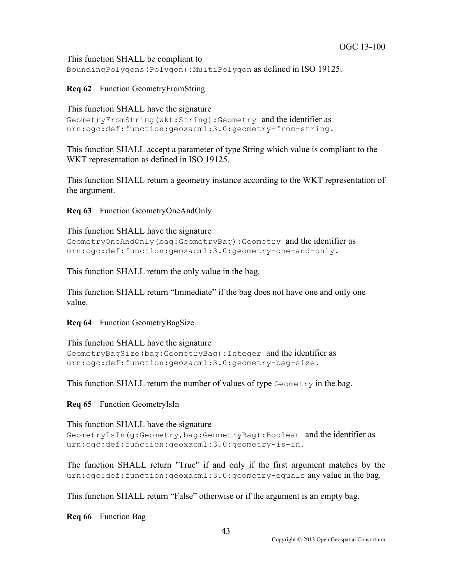This function SHALL be compliant to BoundingPolygons(Polygon):MultiPolygon as defined in ISO 19125.

### **Req 62** Function GeometryFromString

This function SHALL have the signature

```
GeometryFromString(wkt:String):Geometry and the identifier as
urn:ogc:def:function:geoxacml:3.0:geometry-from-string.
```
This function SHALL accept a parameter of type String which value is compliant to the WKT representation as defined in ISO 19125.

This function SHALL return a geometry instance according to the WKT representation of the argument.

**Req 63** Function GeometryOneAndOnly

This function SHALL have the signature

```
GeometryOneAndOnly(bag:GeometryBag):Geometry and the identifier as
urn:ogc:def:function:geoxacml:3.0:geometry-one-and-only.
```
This function SHALL return the only value in the bag.

This function SHALL return "Immediate" if the bag does not have one and only one value.

**Req 64** Function GeometryBagSize

```
This function SHALL have the signature 
GeometryBagSize(bag:GeometryBag):Integer and the identifier as
urn:ogc:def:function:geoxacml:3.0:geometry-bag-size.
```
This function SHALL return the number of values of type  $Geometry$  in the bag.

**Req 65** Function GeometryIsIn

This function SHALL have the signature

```
GeometryIsIn(g:Geometry,bag:GeometryBag):Boolean and the identifier as
urn:ogc:def:function:geoxacml:3.0:geometry-is-in.
```
The function SHALL return "True" if and only if the first argument matches by the urn:ogc:def:function:geoxacml:3.0:geometry-equals any value in the bag.

This function SHALL return "False" otherwise or if the argument is an empty bag.

**Req 66** Function Bag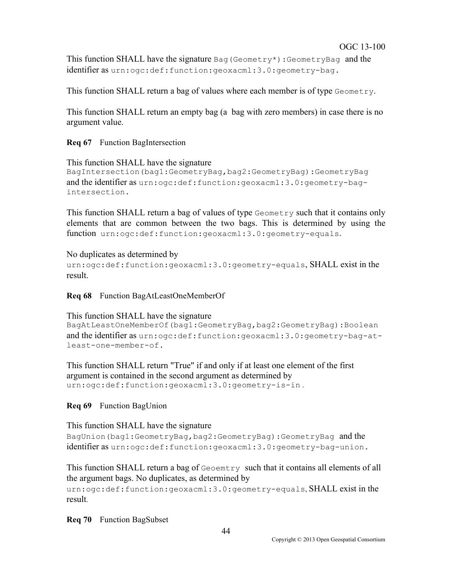This function SHALL have the signature Bag (Geometry\*):GeometryBag and the identifier as urn:ogc:def:function:geoxacml:3.0:geometry-bag.

This function SHALL return a bag of values where each member is of type Geometry.

This function SHALL return an empty bag (a bag with zero members) in case there is no argument value.

#### **Req 67** Function BagIntersection

```
This function SHALL have the signature 
BagIntersection(bag1:GeometryBag,bag2:GeometryBag):GeometryBag 
and the identifier as urn:ogc:def:function:geoxacml:3.0:geometry-bag-
intersection.
```
This function SHALL return a bag of values of type Geometry such that it contains only elements that are common between the two bags. This is determined by using the function urn:ogc:def:function:geoxacml:3.0:geometry-equals.

No duplicates as determined by urn:ogc:def:function:geoxacml:3.0:geometry-equals, SHALL exist in the result.

**Req 68** Function BagAtLeastOneMemberOf

This function SHALL have the signature BagAtLeastOneMemberOf(bag1:GeometryBag,bag2:GeometryBag):Boolean and the identifier as urn:ogc:def:function:geoxacml:3.0:geometry-bag-atleast-one-member-of.

This function SHALL return "True" if and only if at least one element of the first argument is contained in the second argument as determined by urn:ogc:def:function:geoxacml:3.0:geometry-is-in .

#### **Req 69** Function BagUnion

This function SHALL have the signature

BagUnion(bag1:GeometryBag,bag2:GeometryBag):GeometryBag and the identifier as urn:ogc:def:function:geoxacml:3.0:geometry-bag-union.

This function SHALL return a bag of Geoemtry such that it contains all elements of all the argument bags. No duplicates, as determined by

urn:ogc:def:function:geoxacml:3.0:geometry-equals, SHALL exist in the result.

**Req 70** Function BagSubset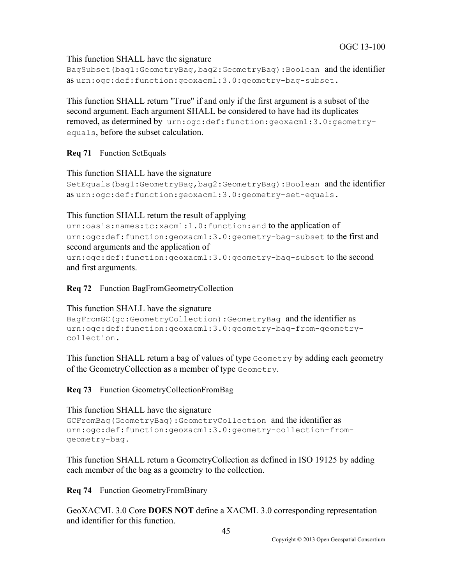This function SHALL have the signature

```
BagSubset(bag1:GeometryBag,bag2:GeometryBag):Boolean and the identifier 
as urn:ogc:def:function:geoxacml:3.0:geometry-bag-subset.
```
This function SHALL return "True" if and only if the first argument is a subset of the second argument. Each argument SHALL be considered to have had its duplicates removed, as determined by urn:ogc:def:function:geoxacml:3.0:geometryequals, before the subset calculation.

**Req 71** Function SetEquals

```
This function SHALL have the signature 
SetEquals(bag1:GeometryBag,bag2:GeometryBag):Boolean and the identifier 
as urn:ogc:def:function:geoxacml:3.0:geometry-set-equals.
```
This function SHALL return the result of applying

```
urn:oasis:names:tc:xacml:1.0:function:and to the application of 
urn:ogc:def:function:geoxacml:3.0:geometry-bag-subset to the first and 
second arguments and the application of 
urn:ogc:def:function:geoxacml:3.0:geometry-bag-subset to the second 
and first arguments.
```
**Req 72** Function BagFromGeometryCollection

```
This function SHALL have the signature 
BagFromGC(gc:GeometryCollection):GeometryBag and the identifier as
urn:ogc:def:function:geoxacml:3.0:geometry-bag-from-geometry-
collection.
```
This function SHALL return a bag of values of type Geometry by adding each geometry of the GeometryCollection as a member of type Geometry.

**Req 73** Function GeometryCollectionFromBag

This function SHALL have the signature

```
GCFromBag(GeometryBag):GeometryCollection and the identifier as
urn:ogc:def:function:geoxacml:3.0:geometry-collection-from-
geometry-bag.
```
This function SHALL return a GeometryCollection as defined in ISO 19125 by adding each member of the bag as a geometry to the collection.

**Req 74** Function GeometryFromBinary

GeoXACML 3.0 Core **DOES NOT** define a XACML 3.0 corresponding representation and identifier for this function.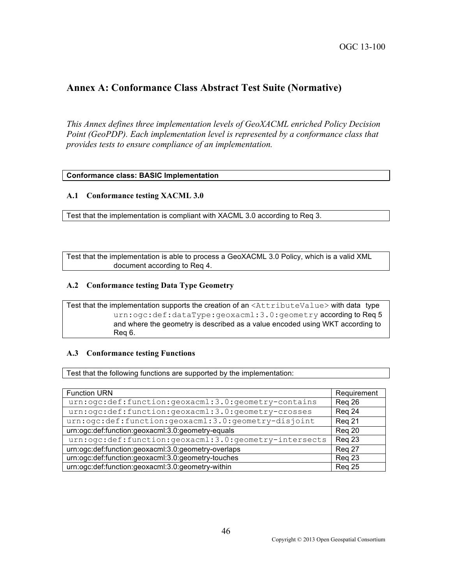## **Annex A: Conformance Class Abstract Test Suite (Normative)**

*This Annex defines three implementation levels of GeoXACML enriched Policy Decision Point (GeoPDP). Each implementation level is represented by a conformance class that provides tests to ensure compliance of an implementation.*

#### **Conformance class: BASIC Implementation**

#### **A.1 Conformance testing XACML 3.0**

Test that the implementation is compliant with XACML 3.0 according to Req 3.

Test that the implementation is able to process a GeoXACML 3.0 Policy, which is a valid XML document according to Req 4.

#### **A.2 Conformance testing Data Type Geometry**

Test that the implementation supports the creation of an <AttributeValue> with data type urn:ogc:def:dataType:geoxacml:3.0:geometry according to Req 5 and where the geometry is described as a value encoded using WKT according to Req 6.

#### **A.3 Conformance testing Functions**

Test that the following functions are supported by the implementation:

| <b>Function URN</b>                                   | Requirement |
|-------------------------------------------------------|-------------|
| urn:ogc:def:function:geoxacml:3.0:geometry-contains   | Reg 26      |
| urn:ogc:def:function:geoxacml:3.0:geometry-crosses    | Reg 24      |
| urn:ogc:def:function:geoxacml:3.0:geometry-disjoint   | Reg 21      |
| urn:ogc:def:function:geoxacml:3.0:geometry-equals     | Reg 20      |
| urn:ogc:def:function:geoxacml:3.0:geometry-intersects | Reg 23      |
| urn:ogc:def:function:geoxacml:3.0:geometry-overlaps   | Reg 27      |
| urn:ogc:def:function:geoxacml:3.0:geometry-touches    | Reg 23      |
| urn:ogc:def:function:geoxacml:3.0:geometry-within     | Reg 25      |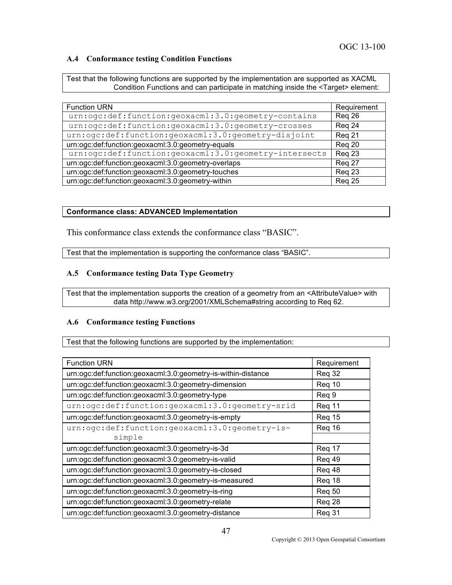#### **A.4 Conformance testing Condition Functions**

Test that the following functions are supported by the implementation are supported as XACML Condition Functions and can participate in matching inside the <Target> element:

| <b>Function URN</b>                                   | Requirement |
|-------------------------------------------------------|-------------|
| urn:ogc:def:function:geoxacml:3.0:geometry-contains   | Reg 26      |
| urn:ogc:def:function:geoxacml:3.0:geometry-crosses    | Reg 24      |
| urn:ogc:def:function:geoxacml:3.0:geometry-disjoint   | Reg 21      |
| urn:ogc:def:function:geoxacml:3.0:geometry-equals     | Reg 20      |
| urn:ogc:def:function:geoxacml:3.0:geometry-intersects | Reg 23      |
| urn:ogc:def:function:geoxacml:3.0:geometry-overlaps   | Reg 27      |
| urn:ogc:def:function:geoxacml:3.0:geometry-touches    | Reg 23      |
| urn:ogc:def:function:geoxacml:3.0:geometry-within     | Reg 25      |

#### **Conformance class: ADVANCED Implementation**

This conformance class extends the conformance class "BASIC".

Test that the implementation is supporting the conformance class "BASIC".

#### **A.5 Conformance testing Data Type Geometry**

Test that the implementation supports the creation of a geometry from an <AttributeValue> with data http://www.w3.org/2001/XMLSchema#string according to Req 62.

#### **A.6 Conformance testing Functions**

Test that the following functions are supported by the implementation:

| <b>Function URN</b>                                           | Requirement |
|---------------------------------------------------------------|-------------|
| urn:ogc:def:function:geoxacml:3.0:geometry-is-within-distance | Req 32      |
| urn:ogc:def:function:geoxacml:3.0:geometry-dimension          | Reg 10      |
| urn:ogc:def:function:geoxacml:3.0:geometry-type               | Req 9       |
| urn:ogc:def:function:geoxacml:3.0:geometry-srid               | Reg 11      |
| urn:ogc:def:function:geoxacml:3.0:geometry-is-empty           | Reg 15      |
| urn:ogc:def:function:geoxacml:3.0:geometry-is-                | Reg 16      |
| simple                                                        |             |
| urn:ogc:def:function:geoxacml:3.0:geometry-is-3d              | Reg 17      |
| urn:ogc:def:function:geoxacml:3.0:geometry-is-valid           | Req 49      |
| urn:ogc:def:function:geoxacml:3.0:geometry-is-closed          | Req 48      |
| urn:ogc:def:function:geoxacml:3.0:geometry-is-measured        | Req 18      |
| urn:ogc:def:function:geoxacml:3.0:geometry-is-ring            | Req 50      |
| urn:ogc:def:function:geoxacml:3.0:geometry-relate             | Req 28      |
| urn:ogc:def:function:geoxacml:3.0:geometry-distance           | Req 31      |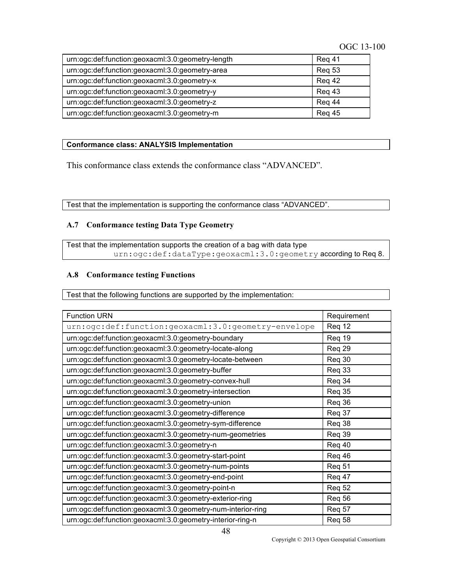| urn:ogc:def:function:geoxacml:3.0:geometry-length | Reg 41        |
|---------------------------------------------------|---------------|
| urn:ogc:def:function:geoxacml:3.0:geometry-area   | <b>Reg 53</b> |
| urn:ogc:def:function:geoxacml:3.0:geometry-x      | Reg 42        |
| urn:ogc:def:function:geoxacml:3.0:geometry-y      | Reg 43        |
| urn:ogc:def:function:geoxacml:3.0:geometry-z      | Reg 44        |
| urn:ogc:def:function:geoxacml:3.0:geometry-m      | <b>Reg 45</b> |

#### **Conformance class: ANALYSIS Implementation**

This conformance class extends the conformance class "ADVANCED".

Test that the implementation is supporting the conformance class "ADVANCED".

#### **A.7 Conformance testing Data Type Geometry**

Test that the implementation supports the creation of a bag with data type urn:ogc:def:dataType:geoxacml:3.0:geometry according to Req 8.

#### **A.8 Conformance testing Functions**

Test that the following functions are supported by the implementation:

| <b>Function URN</b>                                          | Requirement   |
|--------------------------------------------------------------|---------------|
| urn:ogc:def:function:geoxacml:3.0:geometry-envelope          | Req 12        |
| urn:ogc:def:function:geoxacml:3.0:geometry-boundary          | Req 19        |
| urn:ogc:def:function:geoxacml:3.0:geometry-locate-along      | Req 29        |
| urn:ogc:def:function:geoxacml:3.0:geometry-locate-between    | Req 30        |
| urn:ogc:def:function:geoxacml:3.0:geometry-buffer            | Req 33        |
| urn:ogc:def:function:geoxacml:3.0:geometry-convex-hull       | Req 34        |
| urn:ogc:def:function:geoxacml:3.0:geometry-intersection      | Req 35        |
| urn:ogc:def:function:geoxacml:3.0:geometry-union             | Req 36        |
| urn:ogc:def:function:geoxacml:3.0:geometry-difference        | Req 37        |
| urn:ogc:def:function:geoxacml:3.0:geometry-sym-difference    | Req 38        |
| urn:ogc:def:function:geoxacml:3.0:geometry-num-geometries    | Req 39        |
| urn:ogc:def:function:geoxacml:3.0:geometry-n                 | Req 40        |
| urn:ogc:def:function:geoxacml:3.0:geometry-start-point       | Req 46        |
| urn:ogc:def:function:geoxacml:3.0:geometry-num-points        | Req 51        |
| urn:ogc:def:function:geoxacml:3.0:geometry-end-point         | Req 47        |
| urn:ogc:def:function:geoxacml:3.0:geometry-point-n           | <b>Req 52</b> |
| urn:ogc:def:function:geoxacml:3.0:geometry-exterior-ring     | Req 56        |
| urn:ogc:def:function:geoxacml:3.0:geometry-num-interior-ring | Req 57        |
| urn:ogc:def:function:geoxacml:3.0:geometry-interior-ring-n   | Req 58        |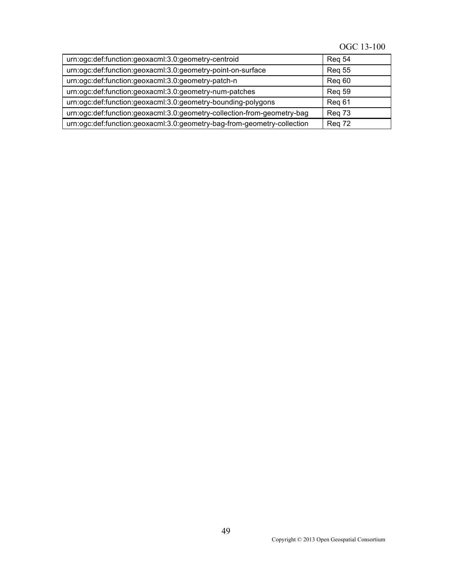## OGC 13-100

| urn:ogc:def:function:geoxacml:3.0:geometry-centroid                     | Reg 54        |
|-------------------------------------------------------------------------|---------------|
| urn:ogc:def:function:geoxacml:3.0:geometry-point-on-surface             | <b>Reg 55</b> |
| urn:ogc:def:function:geoxacml:3.0:geometry-patch-n                      | Reg 60        |
| urn:ogc:def:function:geoxacml:3.0:geometry-num-patches                  | <b>Reg 59</b> |
| urn:ogc:def:function:geoxacml:3.0:geometry-bounding-polygons            | Reg 61        |
| urn:ogc:def:function:geoxacml:3.0:geometry-collection-from-geometry-bag | Reg 73        |
| urn:ogc:def:function:geoxacml:3.0:geometry-bag-from-geometry-collection | Reg 72        |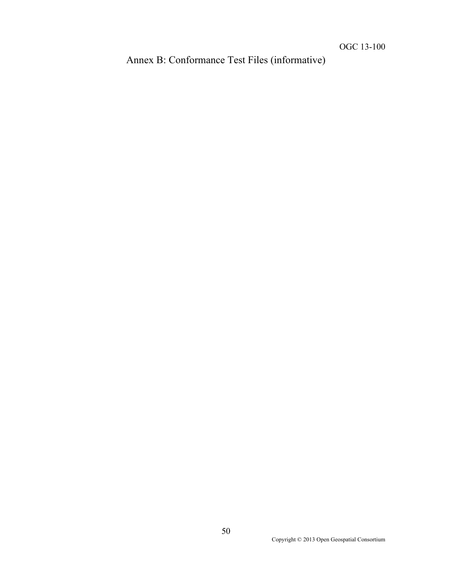Annex B: Conformance Test Files (informative)